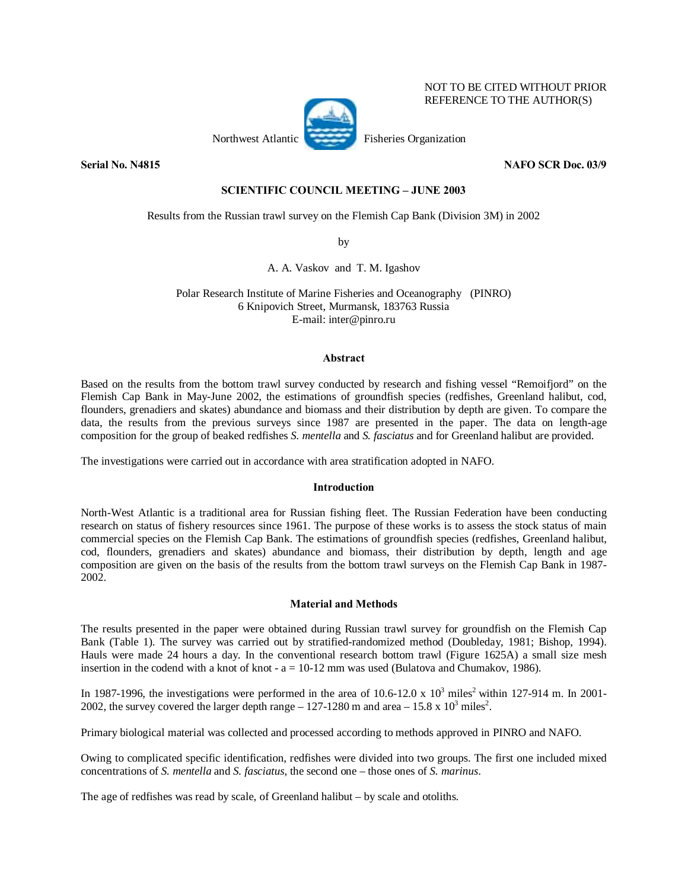## NOT TO BE CITED WITHOUT PRIOR REFERENCE TO THE AUTHOR(S)

Northwest Atlantic Fisheries Organization



**Serial No. N4815** NAFO SCR Doc. 03/9

# **SCIENTIFIC COUNCIL MEETING - JUNE 2003**

Results from the Russian trawl survey on the Flemish Cap Bank (Division 3M) in 2002

by

A. A. Vaskov and T. M. Igashov

Polar Research Institute of Marine Fisheries and Oceanography (PINRO) 6 Knipovich Street, Murmansk, 183763 Russia E-mail: inter@pinro.ru

## **Abstract**

Based on the results from the bottom trawl survey conducted by research and fishing vessel "Remoifjord" on the Flemish Cap Bank in May-June 2002, the estimations of groundfish species (redfishes, Greenland halibut, cod, flounders, grenadiers and skates) abundance and biomass and their distribution by depth are given. To compare the data, the results from the previous surveys since 1987 are presented in the paper. The data on length-age composition for the group of beaked redfishes *S. mentella* and *S. fasciatus* and for Greenland halibut are provided.

The investigations were carried out in accordance with area stratification adopted in NAFO.

# **Introduction**

North-West Atlantic is a traditional area for Russian fishing fleet. The Russian Federation have been conducting research on status of fishery resources since 1961. The purpose of these works is to assess the stock status of main commercial species on the Flemish Cap Bank. The estimations of groundfish species (redfishes, Greenland halibut, cod, flounders, grenadiers and skates) abundance and biomass, their distribution by depth, length and age composition are given on the basis of the results from the bottom trawl surveys on the Flemish Cap Bank in 1987- 2002.

### **Material and Methods**

The results presented in the paper were obtained during Russian trawl survey for groundfish on the Flemish Cap Bank (Table 1). The survey was carried out by stratified-randomized method (Doubleday, 1981; Bishop, 1994). Hauls were made 24 hours a day. In the conventional research bottom trawl (Figure 1625A) a small size mesh insertion in the codend with a knot of knot -  $a = 10-12$  mm was used (Bulatova and Chumakov, 1986).

In 1987-1996, the investigations were performed in the area of 10.6-12.0 x  $10^3$  miles<sup>2</sup> within 127-914 m. In 2001-2002, the survey covered the larger depth range  $- 127 - 1280$  m and area  $- 15.8 \times 10^3$  miles<sup>2</sup>.

Primary biological material was collected and processed according to methods approved in PINRO and NAFO.

Owing to complicated specific identification, redfishes were divided into two groups. The first one included mixed concentrations of *S. mentella* and *S. fasciatus*, the second one – those ones of *S. marinus*.

The age of redfishes was read by scale, of Greenland halibut – by scale and otoliths.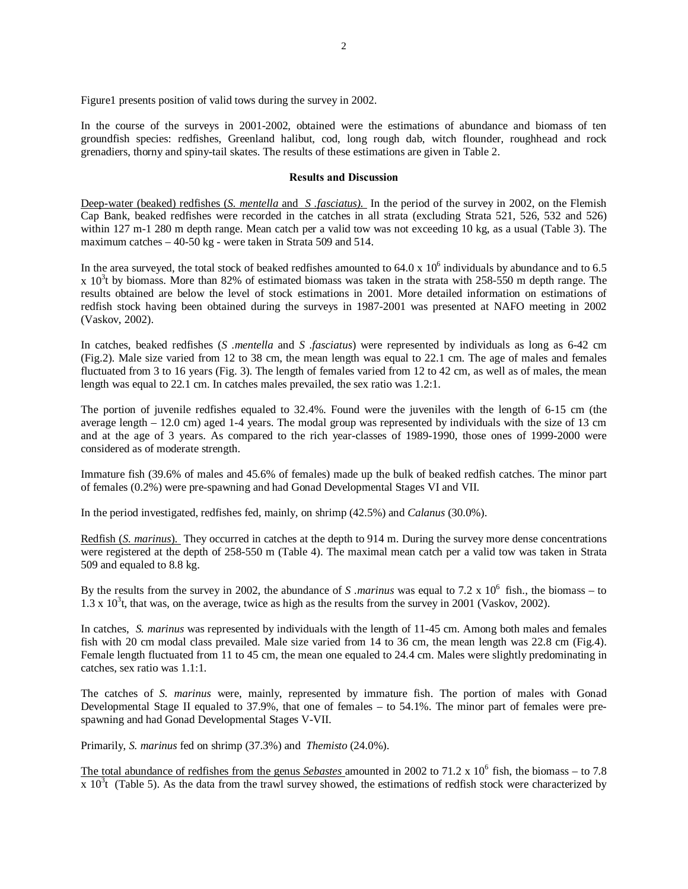Figure1 presents position of valid tows during the survey in 2002.

In the course of the surveys in 2001-2002, obtained were the estimations of abundance and biomass of ten groundfish species: redfishes, Greenland halibut, cod, long rough dab, witch flounder, roughhead and rock grenadiers, thorny and spiny-tail skates. The results of these estimations are given in Table 2.

#### **Results and Discussion**

Deep-water (beaked) redfishes (*S. mentella* and *S .fasciatus)*. In the period of the survey in 2002, on the Flemish Cap Bank, beaked redfishes were recorded in the catches in all strata (excluding Strata 521, 526, 532 and 526) within 127 m-1 280 m depth range. Mean catch per a valid tow was not exceeding 10 kg, as a usual (Table 3). The maximum catches – 40-50 kg - were taken in Strata 509 and 514.

In the area surveyed, the total stock of beaked redfishes amounted to  $64.0 \times 10^6$  individuals by abundance and to 6.5  $x$  10<sup>3</sup>t by biomass. More than 82% of estimated biomass was taken in the strata with 258-550 m depth range. The results obtained are below the level of stock estimations in 2001. More detailed information on estimations of redfish stock having been obtained during the surveys in 1987-2001 was presented at NAFO meeting in 2002 (Vaskov, 2002).

In catches, beaked redfishes (*S .mentella* and *S .fasciatus*) were represented by individuals as long as 6-42 cm (Fig.2). Male size varied from 12 to 38 cm, the mean length was equal to 22.1 cm. The age of males and females fluctuated from 3 to 16 years (Fig. 3). The length of females varied from 12 to 42 cm, as well as of males, the mean length was equal to 22.1 cm. In catches males prevailed, the sex ratio was 1.2:1.

The portion of juvenile redfishes equaled to 32.4%. Found were the juveniles with the length of 6-15 cm (the average length – 12.0 cm) aged 1-4 years. The modal group was represented by individuals with the size of 13 cm and at the age of 3 years. As compared to the rich year-classes of 1989-1990, those ones of 1999-2000 were considered as of moderate strength.

Immature fish (39.6% of males and 45.6% of females) made up the bulk of beaked redfish catches. The minor part of females (0.2%) were pre-spawning and had Gonad Developmental Stages VI and VII.

In the period investigated, redfishes fed, mainly, on shrimp (42.5%) and *Calanus* (30.0%).

Redfish (*S. marinus*). They occurred in catches at the depth to 914 m. During the survey more dense concentrations were registered at the depth of 258-550 m (Table 4). The maximal mean catch per a valid tow was taken in Strata 509 and equaled to 8.8 kg.

By the results from the survey in 2002, the abundance of *S marinus* was equal to 7.2 x  $10^6$  fish., the biomass – to  $1.3 \times 10^3$ t, that was, on the average, twice as high as the results from the survey in 2001 (Vaskov, 2002).

In catches, *S. marinus* was represented by individuals with the length of 11-45 cm. Among both males and females fish with 20 cm modal class prevailed. Male size varied from 14 to 36 cm, the mean length was 22.8 cm (Fig.4). Female length fluctuated from 11 to 45 cm, the mean one equaled to 24.4 cm. Males were slightly predominating in catches, sex ratio was 1.1:1.

The catches of *S. marinus* were, mainly, represented by immature fish. The portion of males with Gonad Developmental Stage II equaled to 37.9%, that one of females – to 54.1%. The minor part of females were prespawning and had Gonad Developmental Stages V-VII.

Primarily, *S. marinus* fed on shrimp (37.3%) and *Themisto* (24.0%).

The total abundance of redfishes from the genus *Sebastes* amounted in 2002 to 71.2 x 10<sup>6</sup> fish, the biomass – to 7.8  $x$  10<sup>3</sup>t (Table 5). As the data from the trawl survey showed, the estimations of redfish stock were characterized by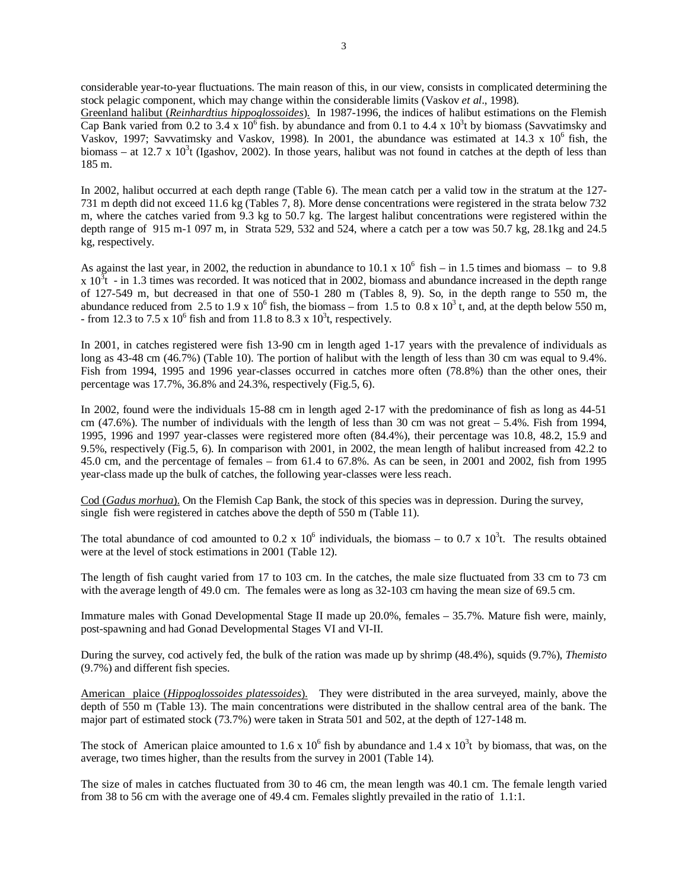considerable year-to-year fluctuations. The main reason of this, in our view, consists in complicated determining the stock pelagic component, which may change within the considerable limits (Vaskov *et al*., 1998).

Greenland halibut (*Reinhardtius hippoglossoides*). In 1987-1996, the indices of halibut estimations on the Flemish Cap Bank varied from 0.2 to 3.4 x  $10^6$  fish. by abundance and from 0.1 to 4.4 x  $10^3$ t by biomass (Savvatimsky and Vaskov, 1997; Savvatimsky and Vaskov, 1998). In 2001, the abundance was estimated at  $14.3 \times 10^6$  fish, the biomass – at 12.7 x 10<sup>3</sup>t (Igashov, 2002). In those years, halibut was not found in catches at the depth of less than 185 m.

In 2002, halibut occurred at each depth range (Table 6). The mean catch per a valid tow in the stratum at the 127- 731 m depth did not exceed 11.6 kg (Tables 7, 8). More dense concentrations were registered in the strata below 732 m, where the catches varied from 9.3 kg to 50.7 kg. The largest halibut concentrations were registered within the depth range of 915 m-1 097 m, in Strata 529, 532 and 524, where a catch per a tow was 50.7 kg, 28.1kg and 24.5 kg, respectively.

As against the last year, in 2002, the reduction in abundance to 10.1 x 10<sup>6</sup> fish – in 1.5 times and biomass – to 9.8  $x 10<sup>3</sup>t$  - in 1.3 times was recorded. It was noticed that in 2002, biomass and abundance increased in the depth range of 127-549 m, but decreased in that one of 550-1 280 m (Tables 8, 9). So, in the depth range to 550 m, the abundance reduced from 2.5 to 1.9 x  $10^6$  fish, the biomass – from 1.5 to 0.8 x  $10^3$  t, and, at the depth below 550 m, - from 12.3 to 7.5 x  $10^6$  fish and from 11.8 to 8.3 x  $10^3$ t, respectively.

In 2001, in catches registered were fish 13-90 cm in length aged 1-17 years with the prevalence of individuals as long as 43-48 cm (46.7%) (Table 10). The portion of halibut with the length of less than 30 cm was equal to 9.4%. Fish from 1994, 1995 and 1996 year-classes occurred in catches more often (78.8%) than the other ones, their percentage was 17.7%, 36.8% and 24.3%, respectively (Fig.5, 6).

In 2002, found were the individuals 15-88 cm in length aged 2-17 with the predominance of fish as long as 44-51 cm  $(47.6\%)$ . The number of individuals with the length of less than 30 cm was not great  $-5.4\%$ . Fish from 1994, 1995, 1996 and 1997 year-classes were registered more often (84.4%), their percentage was 10.8, 48.2, 15.9 and 9.5%, respectively (Fig.5, 6). In comparison with 2001, in 2002, the mean length of halibut increased from 42.2 to 45.0 cm, and the percentage of females – from 61.4 to 67.8%. As can be seen, in 2001 and 2002, fish from 1995 year-class made up the bulk of catches, the following year-classes were less reach.

Cod (*Gadus morhua*). On the Flemish Cap Bank, the stock of this species was in depression. During the survey, single fish were registered in catches above the depth of 550 m (Table 11).

The total abundance of cod amounted to 0.2 x  $10^6$  individuals, the biomass – to 0.7 x  $10^3$ t. The results obtained were at the level of stock estimations in 2001 (Table 12).

The length of fish caught varied from 17 to 103 cm. In the catches, the male size fluctuated from 33 cm to 73 cm with the average length of 49.0 cm. The females were as long as  $32$ -103 cm having the mean size of 69.5 cm.

Immature males with Gonad Developmental Stage II made up 20.0%, females – 35.7%. Mature fish were, mainly, post-spawning and had Gonad Developmental Stages VI and VI-II.

During the survey, cod actively fed, the bulk of the ration was made up by shrimp (48.4%), squids (9.7%), *Themisto* (9.7%) and different fish species.

American plaice (*Hippoglossoides platessoides*). They were distributed in the area surveyed, mainly, above the depth of 550 m (Table 13). The main concentrations were distributed in the shallow central area of the bank. The major part of estimated stock (73.7%) were taken in Strata 501 and 502, at the depth of 127-148 m.

The stock of American plaice amounted to 1.6 x  $10^6$  fish by abundance and 1.4 x  $10^3$ t by biomass, that was, on the average, two times higher, than the results from the survey in 2001 (Table 14).

The size of males in catches fluctuated from 30 to 46 cm, the mean length was 40.1 cm. The female length varied from 38 to 56 cm with the average one of 49.4 cm. Females slightly prevailed in the ratio of 1.1:1.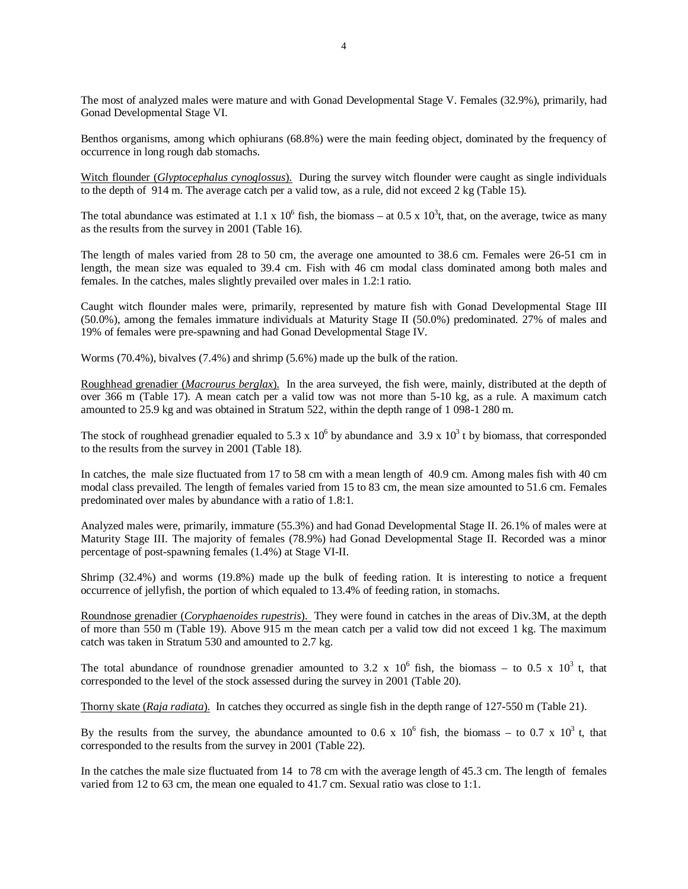The most of analyzed males were mature and with Gonad Developmental Stage V. Females (32.9%), primarily, had Gonad Developmental Stage VI.

Benthos organisms, among which ophiurans (68.8%) were the main feeding object, dominated by the frequency of occurrence in long rough dab stomachs.

Witch flounder (*Glyptocephalus cynoglossus*). During the survey witch flounder were caught as single individuals to the depth of 914 m. The average catch per a valid tow, as a rule, did not exceed 2 kg (Table 15).

The total abundance was estimated at 1.1 x  $10^6$  fish, the biomass – at 0.5 x  $10^3$ t, that, on the average, twice as many as the results from the survey in 2001 (Table 16).

The length of males varied from 28 to 50 cm, the average one amounted to 38.6 cm. Females were 26-51 cm in length, the mean size was equaled to 39.4 cm. Fish with 46 cm modal class dominated among both males and females. In the catches, males slightly prevailed over males in 1.2:1 ratio.

Caught witch flounder males were, primarily, represented by mature fish with Gonad Developmental Stage III (50.0%), among the females immature individuals at Maturity Stage II (50.0%) predominated. 27% of males and 19% of females were pre-spawning and had Gonad Developmental Stage IV.

Worms (70.4%), bivalves (7.4%) and shrimp (5.6%) made up the bulk of the ration.

Roughhead grenadier (*Macrourus berglax*). In the area surveyed, the fish were, mainly, distributed at the depth of over 366 m (Table 17). A mean catch per a valid tow was not more than 5-10 kg, as a rule. A maximum catch amounted to 25.9 kg and was obtained in Stratum 522, within the depth range of 1 098-1 280 m.

The stock of roughhead grenadier equaled to 5.3 x  $10^6$  by abundance and 3.9 x  $10^3$  t by biomass, that corresponded to the results from the survey in 2001 (Table 18).

In catches, the male size fluctuated from 17 to 58 cm with a mean length of 40.9 cm. Among males fish with 40 cm modal class prevailed. The length of females varied from 15 to 83 cm, the mean size amounted to 51.6 cm. Females predominated over males by abundance with a ratio of 1.8:1.

Analyzed males were, primarily, immature (55.3%) and had Gonad Developmental Stage II. 26.1% of males were at Maturity Stage III. The majority of females (78.9%) had Gonad Developmental Stage II. Recorded was a minor percentage of post-spawning females (1.4%) at Stage VI-II.

Shrimp (32.4%) and worms (19.8%) made up the bulk of feeding ration. It is interesting to notice a frequent occurrence of jellyfish, the portion of which equaled to 13.4% of feeding ration, in stomachs.

Roundnose grenadier (*Coryphaenoides rupestris*). They were found in catches in the areas of Div.3M, at the depth of more than 550 m (Table 19). Above 915 m the mean catch per a valid tow did not exceed 1 kg. The maximum catch was taken in Stratum 530 and amounted to 2.7 kg.

The total abundance of roundnose grenadier amounted to 3.2 x  $10^6$  fish, the biomass – to 0.5 x  $10^3$  t, that corresponded to the level of the stock assessed during the survey in 2001 (Table 20).

Thorny skate (*Raja radiata*). In catches they occurred as single fish in the depth range of 127-550 m (Table 21).

By the results from the survey, the abundance amounted to 0.6 x  $10^6$  fish, the biomass – to 0.7 x  $10^3$  t, that corresponded to the results from the survey in 2001 (Table 22).

In the catches the male size fluctuated from 14 to 78 cm with the average length of 45.3 cm. The length of females varied from 12 to 63 cm, the mean one equaled to 41.7 cm. Sexual ratio was close to 1:1.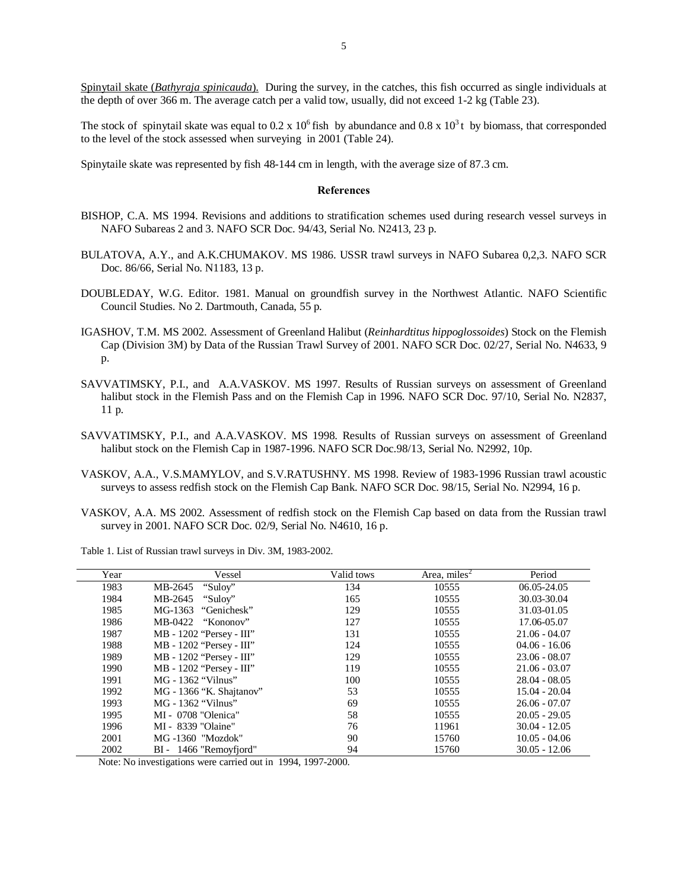Spinytail skate (*Bathyraja spinicauda*). During the survey, in the catches, this fish occurred as single individuals at the depth of over 366 m. The average catch per a valid tow, usually, did not exceed 1-2 kg (Table 23).

The stock of spinytail skate was equal to 0.2 x 10<sup>6</sup> fish by abundance and 0.8 x 10<sup>3</sup> t by biomass, that corresponded to the level of the stock assessed when surveying in 2001 (Table 24).

Spinytaile skate was represented by fish 48-144 cm in length, with the average size of 87.3 cm.

#### **References**

- BISHOP, C.A. MS 1994. Revisions and additions to stratification schemes used during research vessel surveys in NAFO Subareas 2 and 3. NAFO SCR Doc. 94/43, Serial No. N2413, 23 p.
- BULATOVA, A.Y., and A.K.CHUMAKOV. MS 1986. USSR trawl surveys in NAFO Subarea 0,2,3. NAFO SCR Doc. 86/66, Serial No. N1183, 13 p.
- DOUBLEDAY, W.G. Editor. 1981. Manual on groundfish survey in the Northwest Atlantic. NAFO Scientific Council Studies. No 2. Dartmouth, Canada, 55 p.
- IGASHOV, T.M. MS 2002. Assessment of Greenland Halibut (*Reinhardtitus hippoglossoides*) Stock on the Flemish Cap (Division 3M) by Data of the Russian Trawl Survey of 2001. NAFO SCR Doc. 02/27, Serial No. N4633, 9 p.
- SAVVATIMSKY, P.I., and A.A.VASKOV. MS 1997. Results of Russian surveys on assessment of Greenland halibut stock in the Flemish Pass and on the Flemish Cap in 1996. NAFO SCR Doc. 97/10, Serial No. N2837, 11 p.
- SAVVATIMSKY, P.I., and A.A.VASKOV. MS 1998. Results of Russian surveys on assessment of Greenland halibut stock on the Flemish Cap in 1987-1996. NAFO SCR Doc.98/13, Serial No. N2992, 10p.
- VASKOV, A.A., V.S.MAMYLOV, and S.V.RATUSHNY. MS 1998. Review of 1983-1996 Russian trawl acoustic surveys to assess redfish stock on the Flemish Cap Bank. NAFO SCR Doc. 98/15, Serial No. N2994, 16 p.
- VASKOV, A.A. MS 2002. Assessment of redfish stock on the Flemish Cap based on data from the Russian trawl survey in 2001. NAFO SCR Doc. 02/9, Serial No. N4610, 16 p.

| Year | Vessel                        | Valid tows | Area, miles $2$ | Period          |
|------|-------------------------------|------------|-----------------|-----------------|
| 1983 | "Suloy"<br>MB-2645            | 134        | 10555           | 06.05-24.05     |
| 1984 | MB-2645<br>"Suloy"            | 165        | 10555           | 30.03-30.04     |
| 1985 | MG-1363<br>"Genichesk"        | 129        | 10555           | 31.03-01.05     |
| 1986 | MB-0422<br>"Kononov"          | 127        | 10555           | 17.06-05.07     |
| 1987 | $MB - 1202$ "Persey - $III$ " | 131        | 10555           | $21.06 - 04.07$ |
| 1988 | $MB - 1202$ "Persey - $III$ " | 124        | 10555           | $04.06 - 16.06$ |
| 1989 | MB - 1202 "Persey - III"      | 129        | 10555           | $23.06 - 08.07$ |
| 1990 | $MB - 1202$ "Persey - $III$ " | 119        | 10555           | $21.06 - 03.07$ |
| 1991 | MG - 1362 "Vilnus"            | 100        | 10555           | $28.04 - 08.05$ |
| 1992 | MG - 1366 "K. Shajtanov"      | 53         | 10555           | 15.04 - 20.04   |
| 1993 | MG - 1362 "Vilnus"            | 69         | 10555           | $26.06 - 07.07$ |
| 1995 | MI - 0708 "Olenica"           | 58         | 10555           | $20.05 - 29.05$ |
| 1996 | MI - 8339 "Olaine"            | 76         | 11961           | $30.04 - 12.05$ |
| 2001 | MG-1360 "Mozdok"              | 90         | 15760           | $10.05 - 04.06$ |
| 2002 | BI - 1466 "Removerfjord"      | 94         | 15760           | $30.05 - 12.06$ |

Table 1. List of Russian trawl surveys in Div. 3M, 1983-2002.

Note: No investigations were carried out in 1994, 1997-2000.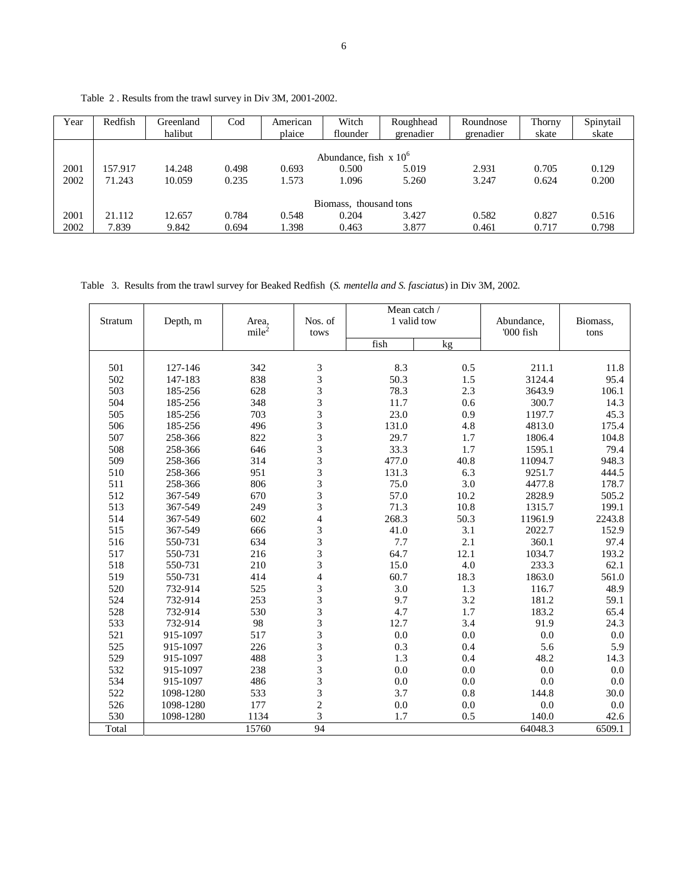| Year | Redfish | Greenland<br>halibut | $\rm Cod$ | American<br>plaice | Witch<br>flounder        | Roughhead<br>grenadier | Roundnose<br>grenadier | Thorny<br>skate | Spinytail<br>skate |
|------|---------|----------------------|-----------|--------------------|--------------------------|------------------------|------------------------|-----------------|--------------------|
|      |         |                      |           |                    | Abundance, fish $x 10^6$ |                        |                        |                 |                    |
| 2001 | 157.917 | 14.248               | 0.498     | 0.693              | 0.500                    | 5.019                  | 2.931                  | 0.705           | 0.129              |
| 2002 | 71.243  | 10.059               | 0.235     | 1.573              | 1.096                    | 5.260                  | 3.247                  | 0.624           | 0.200              |
|      |         |                      |           |                    | Biomass, thousand tons   |                        |                        |                 |                    |
| 2001 | 21.112  | 12.657               | 0.784     | 0.548              | 0.204                    | 3.427                  | 0.582                  | 0.827           | 0.516              |
| 2002 | 7.839   | 9.842                | 0.694     | 1.398              | 0.463                    | 3.877                  | 0.461                  | 0.717           | 0.798              |

Table 2 . Results from the trawl survey in Div 3M, 2001-2002.

Table 3. Results from the trawl survey for Beaked Redfish (*S. mentella and S. fasciatus*) in Div 3M, 2002.

| Stratum | Depth, m  | Area,<br>mile <sup>2</sup> | Nos. of        | Mean catch /<br>1 valid tow |      | Abundance,<br>'000 fish | Biomass, |
|---------|-----------|----------------------------|----------------|-----------------------------|------|-------------------------|----------|
|         |           |                            | tows           | fish                        | kg   |                         | tons     |
|         |           |                            |                |                             |      |                         |          |
| 501     | 127-146   | 342                        | 3              | 8.3                         | 0.5  | 211.1                   | 11.8     |
| 502     | 147-183   | 838                        | 3              | 50.3                        | 1.5  | 3124.4                  | 95.4     |
| 503     | 185-256   | 628                        | 3              | 78.3                        | 2.3  | 3643.9                  | 106.1    |
| 504     | 185-256   | 348                        | 3              | 11.7                        | 0.6  | 300.7                   | 14.3     |
| 505     | 185-256   | 703                        | 3              | 23.0                        | 0.9  | 1197.7                  | 45.3     |
| 506     | 185-256   | 496                        | $\frac{3}{3}$  | 131.0                       | 4.8  | 4813.0                  | 175.4    |
| 507     | 258-366   | 822                        |                | 29.7                        | 1.7  | 1806.4                  | 104.8    |
| 508     | 258-366   | 646                        | $\frac{3}{3}$  | 33.3                        | 1.7  | 1595.1                  | 79.4     |
| 509     | 258-366   | 314                        |                | 477.0                       | 40.8 | 11094.7                 | 948.3    |
| 510     | 258-366   | 951                        | 3              | 131.3                       | 6.3  | 9251.7                  | 444.5    |
| 511     | 258-366   | 806                        | 3              | 75.0                        | 3.0  | 4477.8                  | 178.7    |
| 512     | 367-549   | 670                        | 3              | 57.0                        | 10.2 | 2828.9                  | 505.2    |
| 513     | 367-549   | 249                        | 3              | 71.3                        | 10.8 | 1315.7                  | 199.1    |
| 514     | 367-549   | 602                        | $\overline{4}$ | 268.3                       | 50.3 | 11961.9                 | 2243.8   |
| 515     | 367-549   | 666                        |                | 41.0                        | 3.1  | 2022.7                  | 152.9    |
| 516     | 550-731   | 634                        | $\frac{3}{3}$  | 7.7                         | 2.1  | 360.1                   | 97.4     |
| 517     | 550-731   | 216                        | 3              | 64.7                        | 12.1 | 1034.7                  | 193.2    |
| 518     | 550-731   | 210                        | 3              | 15.0                        | 4.0  | 233.3                   | 62.1     |
| 519     | 550-731   | 414                        | $\overline{4}$ | 60.7                        | 18.3 | 1863.0                  | 561.0    |
| 520     | 732-914   | 525                        | 3              | 3.0                         | 1.3  | 116.7                   | 48.9     |
| 524     | 732-914   | 253                        | 3              | 9.7                         | 3.2  | 181.2                   | 59.1     |
| 528     | 732-914   | 530                        | 3              | 4.7                         | 1.7  | 183.2                   | 65.4     |
| 533     | 732-914   | 98                         | 3              | 12.7                        | 3.4  | 91.9                    | 24.3     |
| 521     | 915-1097  | 517                        | 3              | 0.0                         | 0.0  | $0.0\,$                 | 0.0      |
| 525     | 915-1097  | 226                        | 3              | 0.3                         | 0.4  | 5.6                     | 5.9      |
| 529     | 915-1097  | 488                        | 3              | 1.3                         | 0.4  | 48.2                    | 14.3     |
| 532     | 915-1097  | 238                        | 3              | 0.0                         | 0.0  | 0.0                     | 0.0      |
| 534     | 915-1097  | 486                        | 3              | 0.0                         | 0.0  | 0.0                     | 0.0      |
| 522     | 1098-1280 | 533                        | 3              | 3.7                         | 0.8  | 144.8                   | 30.0     |
| 526     | 1098-1280 | 177                        | $\overline{c}$ | 0.0                         | 0.0  | 0.0                     | 0.0      |
| 530     | 1098-1280 | 1134                       | $\overline{3}$ | 1.7                         | 0.5  | 140.0                   | 42.6     |
| Total   |           | 15760                      | 94             |                             |      | 64048.3                 | 6509.1   |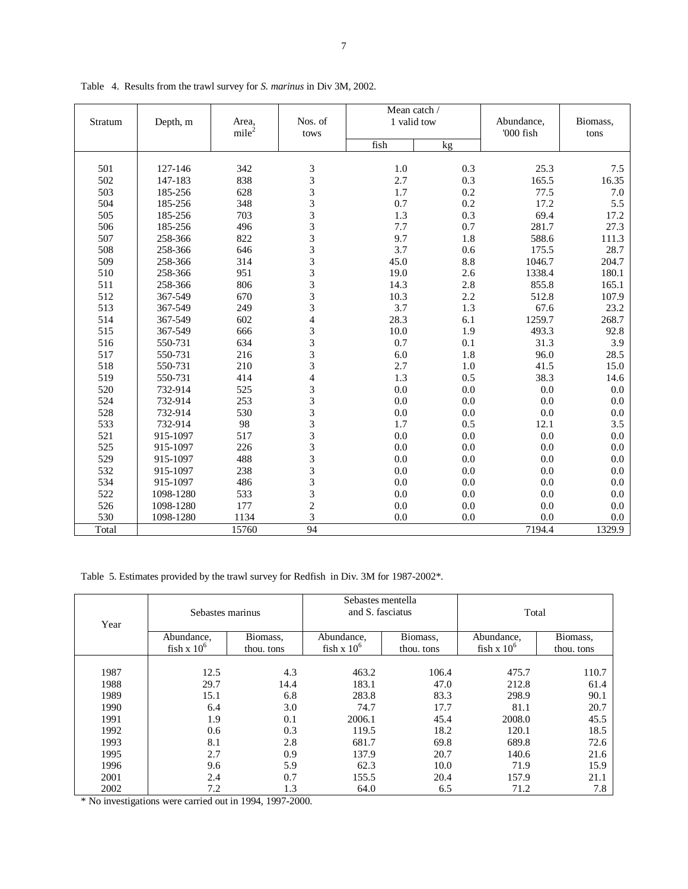|         |           |                   |                         | Mean catch / |     |            |          |  |
|---------|-----------|-------------------|-------------------------|--------------|-----|------------|----------|--|
| Stratum | Depth, m  | Area,             | Nos. of                 | 1 valid tow  |     | Abundance, | Biomass, |  |
|         |           | mile <sup>2</sup> | tows                    |              |     | '000 fish  | tons     |  |
|         |           |                   |                         | fish         | kg  |            |          |  |
|         |           | 342               |                         |              |     |            |          |  |
| 501     | 127-146   |                   | 3                       | 1.0          | 0.3 | 25.3       | 7.5      |  |
| 502     | 147-183   | 838               | 3                       | 2.7          | 0.3 | 165.5      | 16.35    |  |
| 503     | 185-256   | 628               | 3                       | 1.7          | 0.2 | 77.5       | $7.0\,$  |  |
| 504     | 185-256   | 348               | 3                       | 0.7          | 0.2 | 17.2       | 5.5      |  |
| 505     | 185-256   | 703               | 3                       | 1.3          | 0.3 | 69.4       | 17.2     |  |
| 506     | 185-256   | 496               | 3                       | 7.7          | 0.7 | 281.7      | 27.3     |  |
| 507     | 258-366   | 822               | 3                       | 9.7          | 1.8 | 588.6      | 111.3    |  |
| 508     | 258-366   | 646               | 3                       | 3.7          | 0.6 | 175.5      | 28.7     |  |
| 509     | 258-366   | 314               | 3                       | 45.0         | 8.8 | 1046.7     | 204.7    |  |
| 510     | 258-366   | 951               | 3                       | 19.0         | 2.6 | 1338.4     | 180.1    |  |
| 511     | 258-366   | 806               | 3                       | 14.3         | 2.8 | 855.8      | 165.1    |  |
| 512     | 367-549   | 670               | 3                       | 10.3         | 2.2 | 512.8      | 107.9    |  |
| 513     | 367-549   | 249               | 3                       | 3.7          | 1.3 | 67.6       | 23.2     |  |
| 514     | 367-549   | 602               | $\overline{\mathbf{4}}$ | 28.3         | 6.1 | 1259.7     | 268.7    |  |
| 515     | 367-549   | 666               | 3                       | 10.0         | 1.9 | 493.3      | 92.8     |  |
| 516     | 550-731   | 634               | 3                       | 0.7          | 0.1 | 31.3       | 3.9      |  |
| 517     | 550-731   | 216               | 3                       | 6.0          | 1.8 | 96.0       | 28.5     |  |
| 518     | 550-731   | 210               | 3                       | 2.7          | 1.0 | 41.5       | 15.0     |  |
| 519     | 550-731   | 414               | $\overline{\mathbf{4}}$ | 1.3          | 0.5 | 38.3       | 14.6     |  |
| 520     | 732-914   | 525               | 3                       | 0.0          | 0.0 | 0.0        | 0.0      |  |
| 524     | 732-914   | 253               | 3                       | 0.0          | 0.0 | 0.0        | 0.0      |  |
| 528     | 732-914   | 530               | 3                       | 0.0          | 0.0 | 0.0        | 0.0      |  |
| 533     | 732-914   | 98                | 3                       | 1.7          | 0.5 | 12.1       | 3.5      |  |
| 521     | 915-1097  | 517               | 3                       | 0.0          | 0.0 | 0.0        | 0.0      |  |
| 525     | 915-1097  | 226               | 3                       | 0.0          | 0.0 | 0.0        | 0.0      |  |
| 529     | 915-1097  | 488               | 3                       | 0.0          | 0.0 | 0.0        | 0.0      |  |
| 532     | 915-1097  | 238               | 3                       | 0.0          | 0.0 | 0.0        | 0.0      |  |
| 534     | 915-1097  | 486               | $\overline{3}$          | 0.0          | 0.0 | 0.0        | 0.0      |  |
| 522     | 1098-1280 | 533               | 3                       | 0.0          | 0.0 | 0.0        | 0.0      |  |
| 526     | 1098-1280 | 177               | $\overline{c}$          | 0.0          | 0.0 | 0.0        | 0.0      |  |
| 530     | 1098-1280 | 1134              | 3                       | 0.0          | 0.0 | 0.0        | 0.0      |  |
| Total   |           | 15760             | $\overline{94}$         |              |     | 7194.4     | 1329.9   |  |

Table 4. Results from the trawl survey for *S. marinus* in Div 3M, 2002.

Table 5. Estimates provided by the trawl survey for Redfish in Div. 3M for 1987-2002\*.

| Year | Sebastes marinus |            | Sebastes mentella<br>and S. fasciatus |            | Total         |            |  |
|------|------------------|------------|---------------------------------------|------------|---------------|------------|--|
|      | Abundance,       | Biomass,   | Abundance,                            | Biomass,   | Abundance,    | Biomass,   |  |
|      | fish x $10^6$    | thou, tons | fish x $10^6$                         | thou, tons | fish x $10^6$ | thou, tons |  |
|      |                  |            |                                       |            |               |            |  |
| 1987 | 12.5             | 4.3        | 463.2                                 | 106.4      | 475.7         | 110.7      |  |
| 1988 | 29.7             | 14.4       | 183.1                                 | 47.0       | 212.8         | 61.4       |  |
| 1989 | 15.1             | 6.8        | 283.8                                 | 83.3       | 298.9         | 90.1       |  |
| 1990 | 6.4              | 3.0        | 74.7                                  | 17.7       | 81.1          | 20.7       |  |
| 1991 | 1.9              | 0.1        | 2006.1                                | 45.4       | 2008.0        | 45.5       |  |
| 1992 | 0.6              | 0.3        | 119.5                                 | 18.2       | 120.1         | 18.5       |  |
| 1993 | 8.1              | 2.8        | 681.7                                 | 69.8       | 689.8         | 72.6       |  |
| 1995 | 2.7              | 0.9        | 137.9                                 | 20.7       | 140.6         | 21.6       |  |
| 1996 | 9.6              | 5.9        | 62.3                                  | 10.0       | 71.9          | 15.9       |  |
| 2001 | 2.4              | 0.7        | 155.5                                 | 20.4       | 157.9         | 21.1       |  |
| 2002 | 7.2              | 1.3        | 64.0                                  | 6.5        | 71.2          | 7.8        |  |

\* No investigations were carried out in 1994, 1997-2000.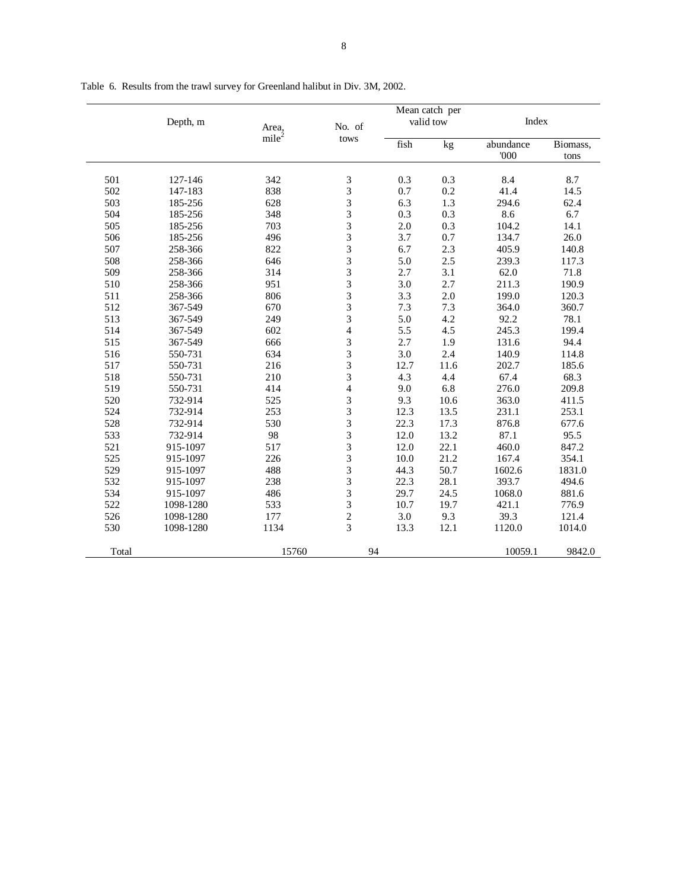|       | Depth, m  | Area,             | No. of                   |      | Mean catch per<br>valid tow | Index             |                  |
|-------|-----------|-------------------|--------------------------|------|-----------------------------|-------------------|------------------|
|       |           | mile <sup>2</sup> | tows                     | fish | kg                          | abundance<br>'000 | Biomass,<br>tons |
| 501   | 127-146   | 342               | 3                        | 0.3  | 0.3                         | 8.4               | 8.7              |
| 502   | 147-183   | 838               | 3                        | 0.7  | 0.2                         | 41.4              | 14.5             |
| 503   | 185-256   | 628               | 3                        | 6.3  | 1.3                         | 294.6             | 62.4             |
| 504   | 185-256   | 348               | 3                        | 0.3  | 0.3                         | 8.6               | 6.7              |
| 505   | 185-256   | 703               | 3                        | 2.0  | 0.3                         | 104.2             | 14.1             |
| 506   | 185-256   | 496               | 3                        | 3.7  | 0.7                         | 134.7             | 26.0             |
| 507   | 258-366   | 822               | 3                        | 6.7  | 2.3                         | 405.9             | 140.8            |
| 508   | 258-366   | 646               | 3                        | 5.0  | 2.5                         | 239.3             | 117.3            |
| 509   | 258-366   | 314               | 3                        | 2.7  | 3.1                         | 62.0              | 71.8             |
| 510   | 258-366   | 951               | 3                        | 3.0  | 2.7                         | 211.3             | 190.9            |
| 511   | 258-366   | 806               | 3                        | 3.3  | 2.0                         | 199.0             | 120.3            |
| 512   | 367-549   | 670               | 3                        | 7.3  | 7.3                         | 364.0             | 360.7            |
| 513   | 367-549   | 249               | 3                        | 5.0  | 4.2                         | 92.2              | 78.1             |
| 514   | 367-549   | 602               | $\overline{\mathcal{L}}$ | 5.5  | 4.5                         | 245.3             | 199.4            |
| 515   | 367-549   | 666               | 3                        | 2.7  | 1.9                         | 131.6             | 94.4             |
| 516   | 550-731   | 634               | 3                        | 3.0  | 2.4                         | 140.9             | 114.8            |
| 517   | 550-731   | 216               | 3                        | 12.7 | 11.6                        | 202.7             | 185.6            |
| 518   | 550-731   | 210               | 3                        | 4.3  | 4.4                         | 67.4              | 68.3             |
| 519   | 550-731   | 414               | $\overline{\mathcal{L}}$ | 9.0  | 6.8                         | 276.0             | 209.8            |
| 520   | 732-914   | 525               | 3                        | 9.3  | 10.6                        | 363.0             | 411.5            |
| 524   | 732-914   | 253               | 3                        | 12.3 | 13.5                        | 231.1             | 253.1            |
| 528   | 732-914   | 530               | 3                        | 22.3 | 17.3                        | 876.8             | 677.6            |
| 533   | 732-914   | 98                | 3                        | 12.0 | 13.2                        | 87.1              | 95.5             |
| 521   | 915-1097  | 517               | 3                        | 12.0 | 22.1                        | 460.0             | 847.2            |
| 525   | 915-1097  | 226               | 3                        | 10.0 | 21.2                        | 167.4             | 354.1            |
| 529   | 915-1097  | 488               | 3                        | 44.3 | 50.7                        | 1602.6            | 1831.0           |
| 532   | 915-1097  | 238               | 3                        | 22.3 | 28.1                        | 393.7             | 494.6            |
| 534   | 915-1097  | 486               | 3                        | 29.7 | 24.5                        | 1068.0            | 881.6            |
| 522   | 1098-1280 | 533               | 3                        | 10.7 | 19.7                        | 421.1             | 776.9            |
| 526   | 1098-1280 | 177               | $\overline{c}$           | 3.0  | 9.3                         | 39.3              | 121.4            |
| 530   | 1098-1280 | 1134              | 3                        | 13.3 | 12.1                        | 1120.0            | 1014.0           |
| Total |           | 15760             | 94                       |      |                             | 10059.1           | 9842.0           |

Table 6. Results from the trawl survey for Greenland halibut in Div. 3M, 2002.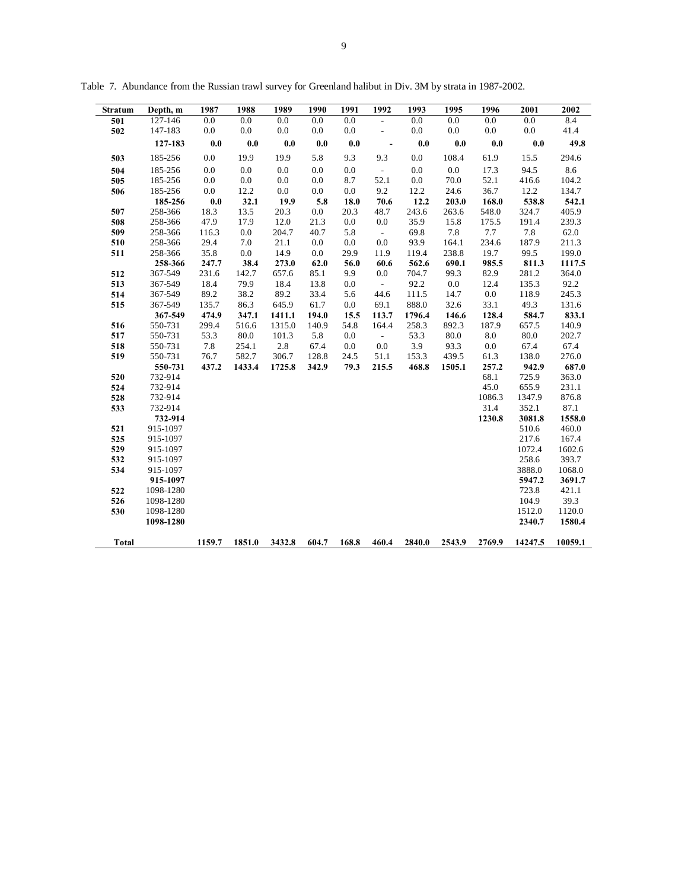| Stratum      | Depth, m  | 1987   | 1988   | 1989   | 1990  | 1991  | 1992                     | 1993   | 1995   | 1996   | 2001    | 2002    |
|--------------|-----------|--------|--------|--------|-------|-------|--------------------------|--------|--------|--------|---------|---------|
| 501          | 127-146   | 0.0    | 0.0    | 0.0    | 0.0   | 0.0   | $\frac{1}{2}$            | 0.0    | 0.0    | 0.0    | 0.0     | 8.4     |
| 502          | 147-183   | 0.0    | 0.0    | 0.0    | 0.0   | 0.0   | $\frac{1}{2}$            | 0.0    | 0.0    | 0.0    | 0.0     | 41.4    |
|              | 127-183   | 0.0    | 0.0    | 0.0    | 0.0   | 0.0   | $\overline{\phantom{a}}$ | 0.0    | 0.0    | 0.0    | 0.0     | 49.8    |
| 503          | 185-256   | 0.0    | 19.9   | 19.9   | 5.8   | 9.3   | 9.3                      | 0.0    | 108.4  | 61.9   | 15.5    | 294.6   |
| 504          | 185-256   | 0.0    | 0.0    | 0.0    | 0.0   | 0.0   | $\sim$                   | 0.0    | 0.0    | 17.3   | 94.5    | 8.6     |
| 505          | 185-256   | 0.0    | 0.0    | 0.0    | 0.0   | 8.7   | 52.1                     | 0.0    | 70.0   | 52.1   | 416.6   | 104.2   |
| 506          | 185-256   | 0.0    | 12.2   | 0.0    | 0.0   | 0.0   | 9.2                      | 12.2   | 24.6   | 36.7   | 12.2    | 134.7   |
|              | 185-256   | 0.0    | 32.1   | 19.9   | 5.8   | 18.0  | 70.6                     | 12.2   | 203.0  | 168.0  | 538.8   | 542.1   |
| 507          | 258-366   | 18.3   | 13.5   | 20.3   | 0.0   | 20.3  | 48.7                     | 243.6  | 263.6  | 548.0  | 324.7   | 405.9   |
| 508          | 258-366   | 47.9   | 17.9   | 12.0   | 21.3  | 0.0   | 0.0                      | 35.9   | 15.8   | 175.5  | 191.4   | 239.3   |
| 509          | 258-366   | 116.3  | 0.0    | 204.7  | 40.7  | 5.8   | $\sim$                   | 69.8   | 7.8    | 7.7    | 7.8     | 62.0    |
| 510          | 258-366   | 29.4   | 7.0    | 21.1   | 0.0   | 0.0   | 0.0                      | 93.9   | 164.1  | 234.6  | 187.9   | 211.3   |
| 511          | 258-366   | 35.8   | 0.0    | 14.9   | 0.0   | 29.9  | 11.9                     | 119.4  | 238.8  | 19.7   | 99.5    | 199.0   |
|              | 258-366   | 247.7  | 38.4   | 273.0  | 62.0  | 56.0  | 60.6                     | 562.6  | 690.1  | 985.5  | 811.3   | 1117.5  |
| 512          | 367-549   | 231.6  | 142.7  | 657.6  | 85.1  | 9.9   | 0.0                      | 704.7  | 99.3   | 82.9   | 281.2   | 364.0   |
| 513          | 367-549   | 18.4   | 79.9   | 18.4   | 13.8  | 0.0   | $\sim$                   | 92.2   | 0.0    | 12.4   | 135.3   | 92.2    |
| 514          | 367-549   | 89.2   | 38.2   | 89.2   | 33.4  | 5.6   | 44.6                     | 111.5  | 14.7   | 0.0    | 118.9   | 245.3   |
| 515          | 367-549   | 135.7  | 86.3   | 645.9  | 61.7  | 0.0   | 69.1                     | 888.0  | 32.6   | 33.1   | 49.3    | 131.6   |
|              | 367-549   | 474.9  | 347.1  | 1411.1 | 194.0 | 15.5  | 113.7                    | 1796.4 | 146.6  | 128.4  | 584.7   | 833.1   |
| 516          | 550-731   | 299.4  | 516.6  | 1315.0 | 140.9 | 54.8  | 164.4                    | 258.3  | 892.3  | 187.9  | 657.5   | 140.9   |
| 517          | 550-731   | 53.3   | 80.0   | 101.3  | 5.8   | 0.0   | $\sim$                   | 53.3   | 80.0   | 8.0    | 80.0    | 202.7   |
| 518          | 550-731   | 7.8    | 254.1  | 2.8    | 67.4  | 0.0   | 0.0                      | 3.9    | 93.3   | 0.0    | 67.4    | 67.4    |
| 519          | 550-731   | 76.7   | 582.7  | 306.7  | 128.8 | 24.5  | 51.1                     | 153.3  | 439.5  | 61.3   | 138.0   | 276.0   |
|              | 550-731   | 437.2  | 1433.4 | 1725.8 | 342.9 | 79.3  | 215.5                    | 468.8  | 1505.1 | 257.2  | 942.9   | 687.0   |
| 520          | 732-914   |        |        |        |       |       |                          |        |        | 68.1   | 725.9   | 363.0   |
| 524          | 732-914   |        |        |        |       |       |                          |        |        | 45.0   | 655.9   | 231.1   |
| 528          | 732-914   |        |        |        |       |       |                          |        |        | 1086.3 | 1347.9  | 876.8   |
| 533          | 732-914   |        |        |        |       |       |                          |        |        | 31.4   | 352.1   | 87.1    |
|              | 732-914   |        |        |        |       |       |                          |        |        | 1230.8 | 3081.8  | 1558.0  |
| 521          | 915-1097  |        |        |        |       |       |                          |        |        |        | 510.6   | 460.0   |
| 525          | 915-1097  |        |        |        |       |       |                          |        |        |        | 217.6   | 167.4   |
| 529          | 915-1097  |        |        |        |       |       |                          |        |        |        | 1072.4  | 1602.6  |
| 532          | 915-1097  |        |        |        |       |       |                          |        |        |        | 258.6   | 393.7   |
| 534          | 915-1097  |        |        |        |       |       |                          |        |        |        | 3888.0  | 1068.0  |
|              | 915-1097  |        |        |        |       |       |                          |        |        |        | 5947.2  | 3691.7  |
| 522          | 1098-1280 |        |        |        |       |       |                          |        |        |        | 723.8   | 421.1   |
| 526          | 1098-1280 |        |        |        |       |       |                          |        |        |        | 104.9   | 39.3    |
| 530          | 1098-1280 |        |        |        |       |       |                          |        |        |        | 1512.0  | 1120.0  |
|              | 1098-1280 |        |        |        |       |       |                          |        |        |        | 2340.7  | 1580.4  |
| <b>Total</b> |           | 1159.7 | 1851.0 | 3432.8 | 604.7 | 168.8 | 460.4                    | 2840.0 | 2543.9 | 2769.9 | 14247.5 | 10059.1 |

Table 7. Abundance from the Russian trawl survey for Greenland halibut in Div. 3M by strata in 1987-2002.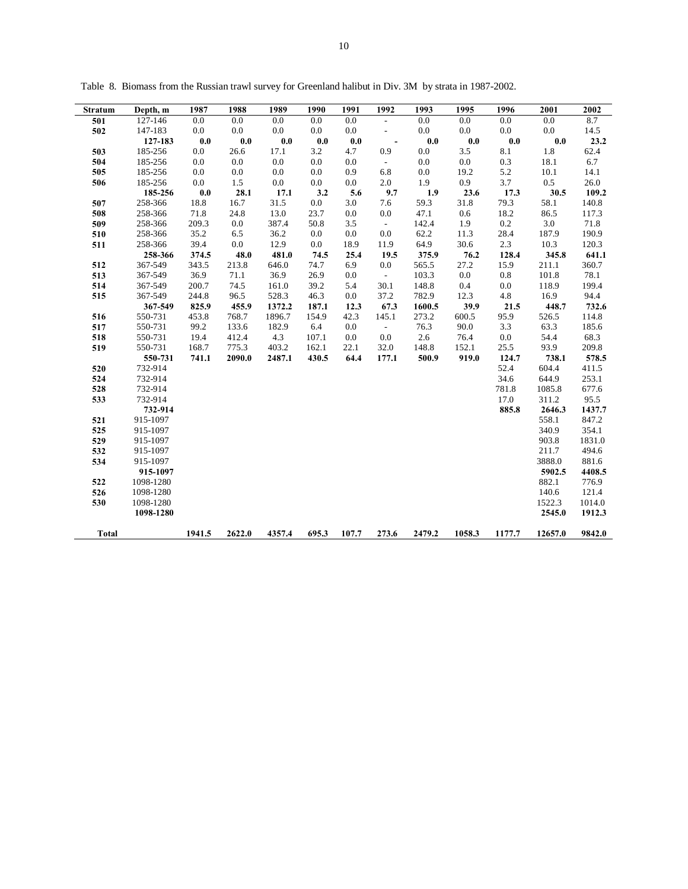| Stratum      | Depth, m  | 1987   | 1988   | 1989   | 1990  | 1991  | 1992                     | 1993   | 1995   | 1996   | 2001    | 2002   |
|--------------|-----------|--------|--------|--------|-------|-------|--------------------------|--------|--------|--------|---------|--------|
| 501          | 127-146   | 0.0    | 0.0    | 0.0    | 0.0   | 0.0   | $\overline{\phantom{a}}$ | 0.0    | 0.0    | 0.0    | 0.0     | 8.7    |
| 502          | 147-183   | 0.0    | 0.0    | 0.0    | 0.0   | 0.0   | $\overline{\phantom{a}}$ | 0.0    | 0.0    | 0.0    | 0.0     | 14.5   |
|              | 127-183   | 0.0    | 0.0    | 0.0    | 0.0   | 0.0   | $\overline{\phantom{a}}$ | 0.0    | 0.0    | 0.0    | 0.0     | 23.2   |
| 503          | 185-256   | 0.0    | 26.6   | 17.1   | 3.2   | 4.7   | 0.9                      | 0.0    | 3.5    | 8.1    | 1.8     | 62.4   |
| 504          | 185-256   | 0.0    | 0.0    | 0.0    | 0.0   | 0.0   | $\mathbb{Z}^2$           | 0.0    | 0.0    | 0.3    | 18.1    | 6.7    |
| 505          | 185-256   | 0.0    | 0.0    | 0.0    | 0.0   | 0.9   | 6.8                      | 0.0    | 19.2   | 5.2    | 10.1    | 14.1   |
| 506          | 185-256   | 0.0    | 1.5    | 0.0    | 0.0   | 0.0   | 2.0                      | 1.9    | 0.9    | 3.7    | 0.5     | 26.0   |
|              | 185-256   | 0.0    | 28.1   | 17.1   | 3.2   | 5.6   | 9.7                      | 1.9    | 23.6   | 17.3   | 30.5    | 109.2  |
| 507          | 258-366   | 18.8   | 16.7   | 31.5   | 0.0   | 3.0   | 7.6                      | 59.3   | 31.8   | 79.3   | 58.1    | 140.8  |
| 508          | 258-366   | 71.8   | 24.8   | 13.0   | 23.7  | 0.0   | 0.0                      | 47.1   | 0.6    | 18.2   | 86.5    | 117.3  |
| 509          | 258-366   | 209.3  | 0.0    | 387.4  | 50.8  | 3.5   | $\sim$                   | 142.4  | 1.9    | 0.2    | 3.0     | 71.8   |
| 510          | 258-366   | 35.2   | 6.5    | 36.2   | 0.0   | 0.0   | 0.0                      | 62.2   | 11.3   | 28.4   | 187.9   | 190.9  |
| 511          | 258-366   | 39.4   | 0.0    | 12.9   | 0.0   | 18.9  | 11.9                     | 64.9   | 30.6   | 2.3    | 10.3    | 120.3  |
|              | 258-366   | 374.5  | 48.0   | 481.0  | 74.5  | 25.4  | 19.5                     | 375.9  | 76.2   | 128.4  | 345.8   | 641.1  |
| 512          | 367-549   | 343.5  | 213.8  | 646.0  | 74.7  | 6.9   | 0.0                      | 565.5  | 27.2   | 15.9   | 211.1   | 360.7  |
| 513          | 367-549   | 36.9   | 71.1   | 36.9   | 26.9  | 0.0   | $\sim$                   | 103.3  | 0.0    | 0.8    | 101.8   | 78.1   |
| 514          | 367-549   | 200.7  | 74.5   | 161.0  | 39.2  | 5.4   | 30.1                     | 148.8  | 0.4    | 0.0    | 118.9   | 199.4  |
| 515          | 367-549   | 244.8  | 96.5   | 528.3  | 46.3  | 0.0   | 37.2                     | 782.9  | 12.3   | 4.8    | 16.9    | 94.4   |
|              | 367-549   | 825.9  | 455.9  | 1372.2 | 187.1 | 12.3  | 67.3                     | 1600.5 | 39.9   | 21.5   | 448.7   | 732.6  |
| 516          | 550-731   | 453.8  | 768.7  | 1896.7 | 154.9 | 42.3  | 145.1                    | 273.2  | 600.5  | 95.9   | 526.5   | 114.8  |
| 517          | 550-731   | 99.2   | 133.6  | 182.9  | 6.4   | 0.0   | $\omega$                 | 76.3   | 90.0   | 3.3    | 63.3    | 185.6  |
| 518          | 550-731   | 19.4   | 412.4  | 4.3    | 107.1 | 0.0   | 0.0                      | 2.6    | 76.4   | 0.0    | 54.4    | 68.3   |
| 519          | 550-731   | 168.7  | 775.3  | 403.2  | 162.1 | 22.1  | 32.0                     | 148.8  | 152.1  | 25.5   | 93.9    | 209.8  |
|              | 550-731   | 741.1  | 2090.0 | 2487.1 | 430.5 | 64.4  | 177.1                    | 500.9  | 919.0  | 124.7  | 738.1   | 578.5  |
| 520          | 732-914   |        |        |        |       |       |                          |        |        | 52.4   | 604.4   | 411.5  |
| 524          | 732-914   |        |        |        |       |       |                          |        |        | 34.6   | 644.9   | 253.1  |
| 528          | 732-914   |        |        |        |       |       |                          |        |        | 781.8  | 1085.8  | 677.6  |
| 533          | 732-914   |        |        |        |       |       |                          |        |        | 17.0   | 311.2   | 95.5   |
|              | 732-914   |        |        |        |       |       |                          |        |        | 885.8  | 2646.3  | 1437.7 |
| 521          | 915-1097  |        |        |        |       |       |                          |        |        |        | 558.1   | 847.2  |
| 525          | 915-1097  |        |        |        |       |       |                          |        |        |        | 340.9   | 354.1  |
| 529          | 915-1097  |        |        |        |       |       |                          |        |        |        | 903.8   | 1831.0 |
| 532          | 915-1097  |        |        |        |       |       |                          |        |        |        | 211.7   | 494.6  |
| 534          | 915-1097  |        |        |        |       |       |                          |        |        |        | 3888.0  | 881.6  |
|              | 915-1097  |        |        |        |       |       |                          |        |        |        | 5902.5  | 4408.5 |
| 522          | 1098-1280 |        |        |        |       |       |                          |        |        |        | 882.1   | 776.9  |
| 526          | 1098-1280 |        |        |        |       |       |                          |        |        |        | 140.6   | 121.4  |
| 530          | 1098-1280 |        |        |        |       |       |                          |        |        |        | 1522.3  | 1014.0 |
|              | 1098-1280 |        |        |        |       |       |                          |        |        |        | 2545.0  | 1912.3 |
| <b>Total</b> |           | 1941.5 | 2622.0 | 4357.4 | 695.3 | 107.7 | 273.6                    | 2479.2 | 1058.3 | 1177.7 | 12657.0 | 9842.0 |

Table 8. Biomass from the Russian trawl survey for Greenland halibut in Div. 3M by strata in 1987-2002.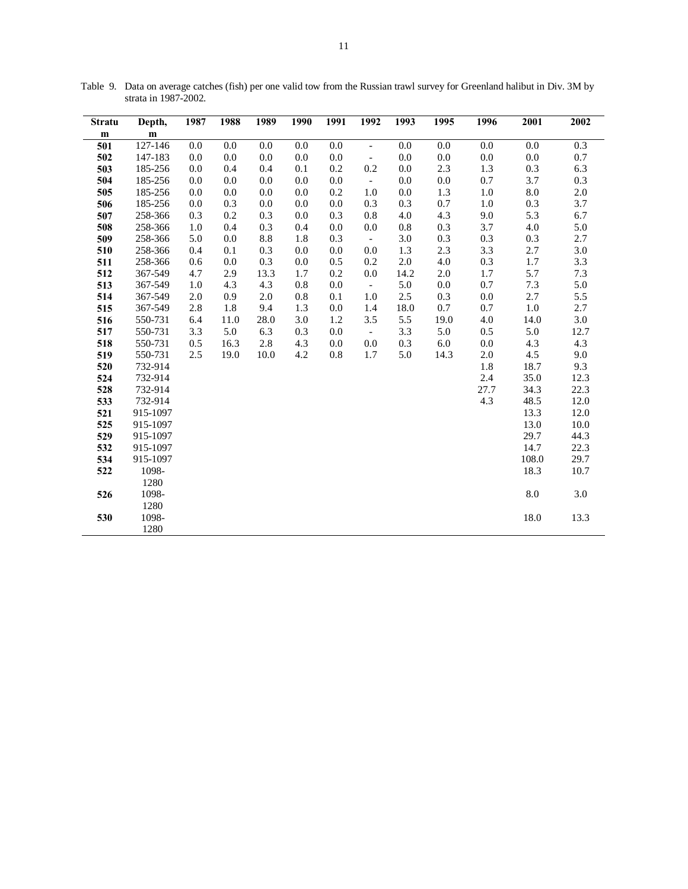| <b>Stratu</b> | Depth,    | 1987 | 1988    | 1989 | 1990 | 1991    | 1992                     | 1993    | 1995    | 1996    | 2001       | 2002    |
|---------------|-----------|------|---------|------|------|---------|--------------------------|---------|---------|---------|------------|---------|
| m             | ${\bf m}$ |      |         |      |      |         |                          |         |         |         |            |         |
| 501           | 127-146   | 0.0  | 0.0     | 0.0  | 0.0  | 0.0     | $\overline{\phantom{a}}$ | 0.0     | 0.0     | 0.0     | 0.0        | 0.3     |
| 502           | 147-183   | 0.0  | 0.0     | 0.0  | 0.0  | 0.0     | $\overline{\phantom{a}}$ | 0.0     | 0.0     | $0.0\,$ | $0.0\,$    | 0.7     |
| 503           | 185-256   | 0.0  | 0.4     | 0.4  | 0.1  | 0.2     | 0.2                      | 0.0     | 2.3     | 1.3     | 0.3        | 6.3     |
| 504           | 185-256   | 0.0  | 0.0     | 0.0  | 0.0  | 0.0     | $\overline{\phantom{a}}$ | 0.0     | 0.0     | 0.7     | 3.7        | $0.3\,$ |
| 505           | 185-256   | 0.0  | 0.0     | 0.0  | 0.0  | 0.2     | 1.0                      | 0.0     | 1.3     | 1.0     | $\ \, 8.0$ | $2.0\,$ |
| 506           | 185-256   | 0.0  | 0.3     | 0.0  | 0.0  | 0.0     | 0.3                      | 0.3     | 0.7     | 1.0     | 0.3        | 3.7     |
| 507           | 258-366   | 0.3  | 0.2     | 0.3  | 0.0  | 0.3     | 0.8                      | 4.0     | 4.3     | 9.0     | 5.3        | 6.7     |
| 508           | 258-366   | 1.0  | 0.4     | 0.3  | 0.4  | $0.0\,$ | 0.0                      | $0.8\,$ | 0.3     | 3.7     | 4.0        | 5.0     |
| 509           | 258-366   | 5.0  | $0.0\,$ | 8.8  | 1.8  | 0.3     | $\sim$                   | 3.0     | 0.3     | 0.3     | 0.3        | 2.7     |
| 510           | 258-366   | 0.4  | 0.1     | 0.3  | 0.0  | 0.0     | 0.0                      | 1.3     | 2.3     | 3.3     | 2.7        | $3.0\,$ |
| 511           | 258-366   | 0.6  | 0.0     | 0.3  | 0.0  | 0.5     | 0.2                      | $2.0\,$ | 4.0     | 0.3     | 1.7        | 3.3     |
| 512           | 367-549   | 4.7  | 2.9     | 13.3 | 1.7  | 0.2     | $0.0\,$                  | 14.2    | 2.0     | 1.7     | 5.7        | $7.3$   |
| 513           | 367-549   | 1.0  | 4.3     | 4.3  | 0.8  | $0.0\,$ | $\mathbb{L}^+$           | 5.0     | $0.0\,$ | 0.7     | 7.3        | 5.0     |
| 514           | 367-549   | 2.0  | 0.9     | 2.0  | 0.8  | 0.1     | 1.0                      | 2.5     | 0.3     | 0.0     | 2.7        | 5.5     |
| 515           | 367-549   | 2.8  | 1.8     | 9.4  | 1.3  | $0.0\,$ | 1.4                      | 18.0    | 0.7     | 0.7     | $1.0\,$    | 2.7     |
| 516           | 550-731   | 6.4  | 11.0    | 28.0 | 3.0  | 1.2     | 3.5                      | 5.5     | 19.0    | 4.0     | 14.0       | 3.0     |
| 517           | 550-731   | 3.3  | 5.0     | 6.3  | 0.3  | 0.0     | $\sim$                   | 3.3     | 5.0     | 0.5     | 5.0        | 12.7    |
| 518           | 550-731   | 0.5  | 16.3    | 2.8  | 4.3  | 0.0     | $0.0\,$                  | 0.3     | 6.0     | $0.0\,$ | 4.3        | 4.3     |
| 519           | 550-731   | 2.5  | 19.0    | 10.0 | 4.2  | 0.8     | 1.7                      | 5.0     | 14.3    | 2.0     | 4.5        | 9.0     |
| 520           | 732-914   |      |         |      |      |         |                          |         |         | 1.8     | 18.7       | 9.3     |
| 524           | 732-914   |      |         |      |      |         |                          |         |         | 2.4     | 35.0       | 12.3    |
| 528           | 732-914   |      |         |      |      |         |                          |         |         | 27.7    | 34.3       | 22.3    |
| 533           | 732-914   |      |         |      |      |         |                          |         |         | 4.3     | 48.5       | 12.0    |
| 521           | 915-1097  |      |         |      |      |         |                          |         |         |         | 13.3       | 12.0    |
| 525           | 915-1097  |      |         |      |      |         |                          |         |         |         | 13.0       | 10.0    |
| 529           | 915-1097  |      |         |      |      |         |                          |         |         |         | 29.7       | 44.3    |
| 532           | 915-1097  |      |         |      |      |         |                          |         |         |         | 14.7       | 22.3    |
| 534           | 915-1097  |      |         |      |      |         |                          |         |         |         | 108.0      | 29.7    |
| 522           | 1098-     |      |         |      |      |         |                          |         |         |         | 18.3       | 10.7    |
|               | 1280      |      |         |      |      |         |                          |         |         |         |            |         |
| 526           | 1098-     |      |         |      |      |         |                          |         |         |         | $\ \, 8.0$ | 3.0     |
|               | 1280      |      |         |      |      |         |                          |         |         |         |            |         |
| 530           | 1098-     |      |         |      |      |         |                          |         |         |         | 18.0       | 13.3    |
|               | 1280      |      |         |      |      |         |                          |         |         |         |            |         |

Table 9. Data on average catches (fish) per one valid tow from the Russian trawl survey for Greenland halibut in Div. 3M by strata in 1987-2002.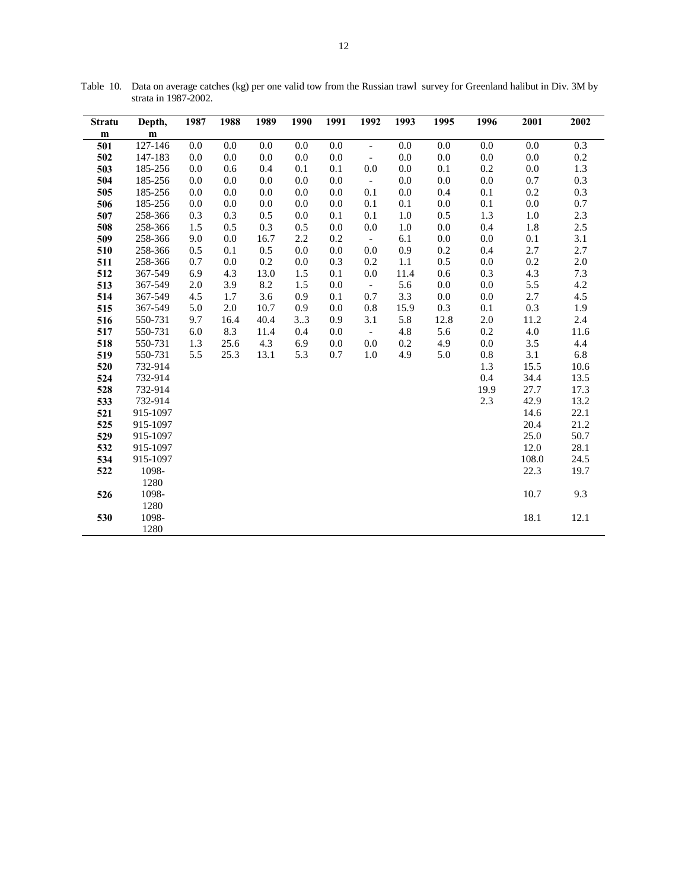| <b>Stratu</b> | Depth,    | 1987 | 1988    | 1989    | 1990 | 1991    | 1992                     | 1993    | 1995    | 1996    | 2001    | 2002    |
|---------------|-----------|------|---------|---------|------|---------|--------------------------|---------|---------|---------|---------|---------|
| m             | ${\bf m}$ |      |         |         |      |         |                          |         |         |         |         |         |
| 501           | 127-146   | 0.0  | 0.0     | 0.0     | 0.0  | 0.0     | $\overline{\phantom{a}}$ | 0.0     | 0.0     | 0.0     | 0.0     | 0.3     |
| 502           | 147-183   | 0.0  | 0.0     | 0.0     | 0.0  | 0.0     | $\blacksquare$           | 0.0     | 0.0     | 0.0     | $0.0\,$ | $0.2\,$ |
| 503           | 185-256   | 0.0  | 0.6     | 0.4     | 0.1  | 0.1     | 0.0                      | 0.0     | 0.1     | 0.2     | 0.0     | 1.3     |
| 504           | 185-256   | 0.0  | 0.0     | 0.0     | 0.0  | 0.0     | $\sim$                   | 0.0     | 0.0     | 0.0     | 0.7     | $0.3\,$ |
| 505           | 185-256   | 0.0  | 0.0     | 0.0     | 0.0  | 0.0     | 0.1                      | 0.0     | 0.4     | 0.1     | 0.2     | 0.3     |
| 506           | 185-256   | 0.0  | 0.0     | 0.0     | 0.0  | 0.0     | 0.1                      | 0.1     | 0.0     | 0.1     | $0.0\,$ | 0.7     |
| 507           | 258-366   | 0.3  | 0.3     | 0.5     | 0.0  | 0.1     | 0.1                      | 1.0     | 0.5     | 1.3     | 1.0     | 2.3     |
| 508           | 258-366   | 1.5  | 0.5     | 0.3     | 0.5  | $0.0\,$ | 0.0                      | 1.0     | 0.0     | 0.4     | 1.8     | 2.5     |
| 509           | 258-366   | 9.0  | 0.0     | 16.7    | 2.2  | 0.2     | $\sim$                   | 6.1     | $0.0\,$ | $0.0\,$ | 0.1     | 3.1     |
| 510           | 258-366   | 0.5  | 0.1     | 0.5     | 0.0  | 0.0     | 0.0                      | 0.9     | 0.2     | 0.4     | 2.7     | 2.7     |
| 511           | 258-366   | 0.7  | 0.0     | $0.2\,$ | 0.0  | 0.3     | 0.2                      | 1.1     | 0.5     | $0.0\,$ | $0.2\,$ | $2.0\,$ |
| 512           | 367-549   | 6.9  | 4.3     | 13.0    | 1.5  | 0.1     | $0.0\,$                  | 11.4    | 0.6     | 0.3     | 4.3     | $7.3\,$ |
| 513           | 367-549   | 2.0  | 3.9     | 8.2     | 1.5  | $0.0\,$ | $\mathbb{Z}^2$           | 5.6     | 0.0     | $0.0\,$ | 5.5     | 4.2     |
| 514           | 367-549   | 4.5  | 1.7     | 3.6     | 0.9  | 0.1     | 0.7                      | 3.3     | 0.0     | $0.0\,$ | 2.7     | 4.5     |
| 515           | 367-549   | 5.0  | $2.0\,$ | 10.7    | 0.9  | $0.0\,$ | 0.8                      | 15.9    | 0.3     | 0.1     | $0.3\,$ | 1.9     |
| 516           | 550-731   | 9.7  | 16.4    | 40.4    | 33   | 0.9     | 3.1                      | 5.8     | 12.8    | $2.0\,$ | 11.2    | 2.4     |
| 517           | 550-731   | 6.0  | 8.3     | 11.4    | 0.4  | 0.0     | $\mathbb{L}$             | 4.8     | 5.6     | 0.2     | 4.0     | 11.6    |
| 518           | 550-731   | 1.3  | 25.6    | 4.3     | 6.9  | 0.0     | 0.0                      | $0.2\,$ | 4.9     | $0.0\,$ | 3.5     | 4.4     |
| 519           | 550-731   | 5.5  | 25.3    | 13.1    | 5.3  | 0.7     | 1.0                      | 4.9     | 5.0     | $0.8\,$ | 3.1     | 6.8     |
| 520           | 732-914   |      |         |         |      |         |                          |         |         | 1.3     | 15.5    | 10.6    |
| 524           | 732-914   |      |         |         |      |         |                          |         |         | 0.4     | 34.4    | 13.5    |
| 528           | 732-914   |      |         |         |      |         |                          |         |         | 19.9    | 27.7    | 17.3    |
| 533           | 732-914   |      |         |         |      |         |                          |         |         | 2.3     | 42.9    | 13.2    |
| 521           | 915-1097  |      |         |         |      |         |                          |         |         |         | 14.6    | 22.1    |
| 525           | 915-1097  |      |         |         |      |         |                          |         |         |         | 20.4    | 21.2    |
| 529           | 915-1097  |      |         |         |      |         |                          |         |         |         | 25.0    | 50.7    |
| 532           | 915-1097  |      |         |         |      |         |                          |         |         |         | 12.0    | 28.1    |
| 534           | 915-1097  |      |         |         |      |         |                          |         |         |         | 108.0   | 24.5    |
| 522           | 1098-     |      |         |         |      |         |                          |         |         |         | 22.3    | 19.7    |
|               | 1280      |      |         |         |      |         |                          |         |         |         |         |         |
| 526           | 1098-     |      |         |         |      |         |                          |         |         |         | 10.7    | 9.3     |
|               | 1280      |      |         |         |      |         |                          |         |         |         |         |         |
| 530           | 1098-     |      |         |         |      |         |                          |         |         |         | 18.1    | 12.1    |
|               | 1280      |      |         |         |      |         |                          |         |         |         |         |         |

Table 10. Data on average catches (kg) per one valid tow from the Russian trawl survey for Greenland halibut in Div. 3M by strata in 1987-2002.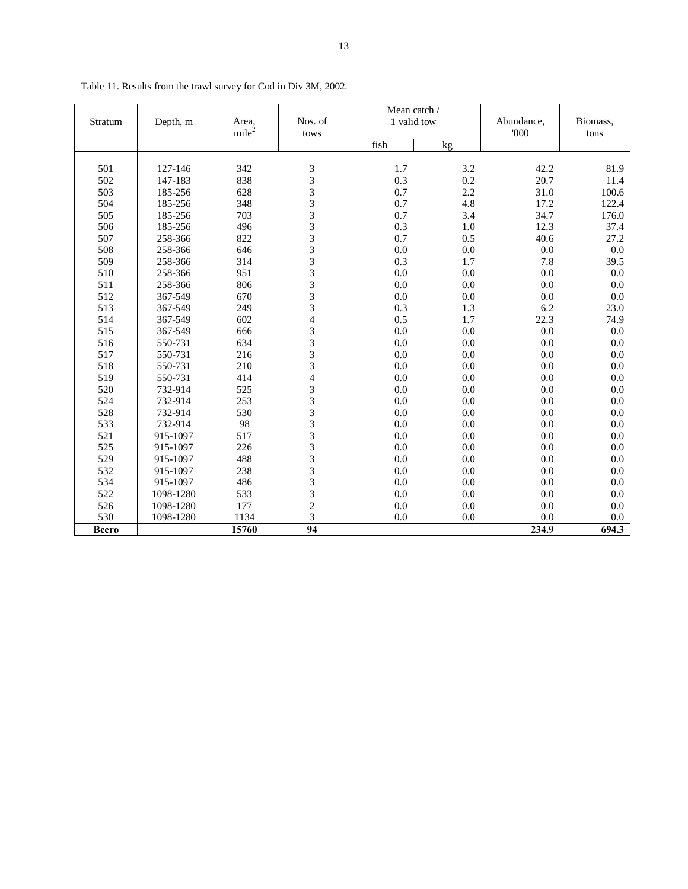|         |           |                   |                          | Mean catch / |     |            |          |  |
|---------|-----------|-------------------|--------------------------|--------------|-----|------------|----------|--|
| Stratum | Depth, m  | Area,             | Nos. of                  | 1 valid tow  |     | Abundance, | Biomass, |  |
|         |           | mile <sup>2</sup> | tows                     |              |     | 000        | tons     |  |
|         |           |                   |                          | fish         | kg  |            |          |  |
|         |           |                   |                          |              |     |            |          |  |
| 501     | 127-146   | 342               | 3                        | 1.7          | 3.2 | 42.2       | 81.9     |  |
| 502     | 147-183   | 838               | 3                        | 0.3          | 0.2 | 20.7       | 11.4     |  |
| 503     | 185-256   | 628               | 3                        | 0.7          | 2.2 | 31.0       | 100.6    |  |
| 504     | 185-256   | 348               | 3                        | 0.7          | 4.8 | 17.2       | 122.4    |  |
| 505     | 185-256   | 703               | $\overline{3}$           | 0.7          | 3.4 | 34.7       | 176.0    |  |
| 506     | 185-256   | 496               | 3                        | 0.3          | 1.0 | 12.3       | 37.4     |  |
| 507     | 258-366   | 822               | 3                        | 0.7          | 0.5 | 40.6       | 27.2     |  |
| 508     | 258-366   | 646               | 3                        | 0.0          | 0.0 | 0.0        | 0.0      |  |
| 509     | 258-366   | 314               | 3                        | 0.3          | 1.7 | 7.8        | 39.5     |  |
| 510     | 258-366   | 951               | 3                        | 0.0          | 0.0 | 0.0        | 0.0      |  |
| 511     | 258-366   | 806               | $\overline{3}$           | 0.0          | 0.0 | 0.0        | 0.0      |  |
| 512     | 367-549   | 670               | 3                        | 0.0          | 0.0 | 0.0        | 0.0      |  |
| 513     | 367-549   | 249               | $\overline{\mathbf{3}}$  | 0.3          | 1.3 | 6.2        | 23.0     |  |
| 514     | 367-549   | 602               | $\overline{\mathcal{L}}$ | 0.5          | 1.7 | 22.3       | 74.9     |  |
| 515     | 367-549   | 666               | 3                        | 0.0          | 0.0 | 0.0        | 0.0      |  |
| 516     | 550-731   | 634               | $\overline{3}$           | 0.0          | 0.0 | 0.0        | 0.0      |  |
| 517     | 550-731   | 216               | 3                        | 0.0          | 0.0 | 0.0        | 0.0      |  |
| 518     | 550-731   | 210               | 3                        | 0.0          | 0.0 | 0.0        | 0.0      |  |
| 519     | 550-731   | 414               | $\overline{\mathcal{L}}$ | 0.0          | 0.0 | 0.0        | 0.0      |  |
| 520     | 732-914   | 525               | 3                        | 0.0          | 0.0 | 0.0        | 0.0      |  |
| 524     | 732-914   | 253               | 3                        | 0.0          | 0.0 | 0.0        | 0.0      |  |
| 528     | 732-914   | 530               | $\overline{3}$           | 0.0          | 0.0 | 0.0        | 0.0      |  |
| 533     | 732-914   | 98                | 3                        | 0.0          | 0.0 | 0.0        | 0.0      |  |
| 521     | 915-1097  | 517               | $\overline{3}$           | 0.0          | 0.0 | 0.0        | 0.0      |  |
| 525     | 915-1097  | 226               | $\overline{\mathbf{3}}$  | 0.0          | 0.0 | 0.0        | 0.0      |  |
| 529     | 915-1097  | 488               | $\overline{\mathbf{3}}$  | 0.0          | 0.0 | 0.0        | 0.0      |  |
| 532     | 915-1097  | 238               | 3                        | 0.0          | 0.0 | 0.0        | 0.0      |  |
| 534     | 915-1097  | 486               | 3                        | 0.0          | 0.0 | 0.0        | 0.0      |  |
| 522     | 1098-1280 | 533               | 3                        | 0.0          | 0.0 | 0.0        | 0.0      |  |
| 526     | 1098-1280 | 177               | $\overline{c}$           | 0.0          | 0.0 | 0.0        | 0.0      |  |
| 530     | 1098-1280 | 1134              | 3                        | 0.0          | 0.0 | 0.0        | 0.0      |  |
| Всего   |           | 15760             | $\overline{94}$          |              |     | 234.9      | 694.3    |  |

Table 11. Results from the trawl survey for Cod in Div 3M, 2002.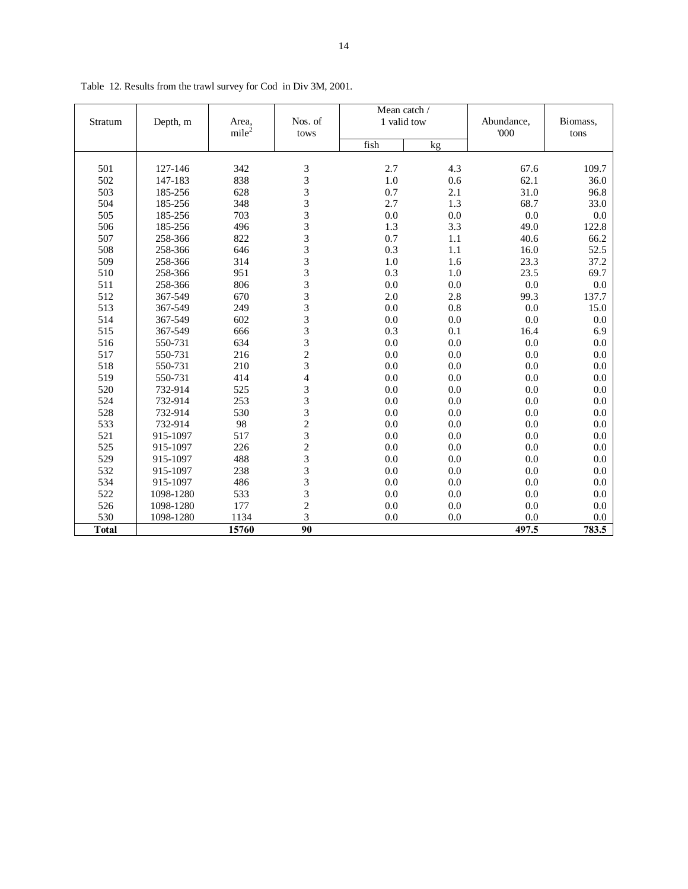|              |           |                   |                | Mean catch / |     |            |          |
|--------------|-----------|-------------------|----------------|--------------|-----|------------|----------|
| Stratum      | Depth, m  | Area,             | Nos. of        | 1 valid tow  |     | Abundance, | Biomass, |
|              |           | mile <sup>2</sup> | tows           |              |     | 000        | tons     |
|              |           |                   |                | fish         | kg  |            |          |
| 501          | 127-146   | 342               | 3              | 2.7          | 4.3 | 67.6       | 109.7    |
| 502          | 147-183   | 838               | 3              | 1.0          | 0.6 | 62.1       | 36.0     |
| 503          | 185-256   | 628               |                | 0.7          | 2.1 | 31.0       | 96.8     |
| 504          | 185-256   | 348               | $\frac{3}{3}$  | 2.7          | 1.3 | 68.7       | 33.0     |
| 505          | 185-256   | 703               |                | 0.0          | 0.0 | 0.0        | 0.0      |
| 506          | 185-256   | 496               | $\frac{3}{3}$  | 1.3          | 3.3 | 49.0       | 122.8    |
| 507          | 258-366   | 822               |                | 0.7          | 1.1 | 40.6       | 66.2     |
| 508          | 258-366   | 646               | $\frac{3}{3}$  | 0.3          | 1.1 | 16.0       | 52.5     |
| 509          | 258-366   | 314               |                | 1.0          | 1.6 | 23.3       | 37.2     |
| 510          | 258-366   | 951               | $\frac{3}{3}$  | 0.3          | 1.0 | 23.5       | 69.7     |
| 511          | 258-366   | 806               |                | 0.0          | 0.0 | 0.0        | $0.0\,$  |
| 512          | 367-549   | 670               |                | 2.0          | 2.8 | 99.3       | 137.7    |
| 513          | 367-549   | 249               |                | 0.0          | 0.8 | 0.0        | 15.0     |
| 514          | 367-549   | 602               | 3333323        | 0.0          | 0.0 | 0.0        | 0.0      |
| 515          | 367-549   | 666               |                | 0.3          | 0.1 | 16.4       | 6.9      |
| 516          | 550-731   | 634               |                | 0.0          | 0.0 | 0.0        | 0.0      |
| 517          | 550-731   | 216               |                | 0.0          | 0.0 | 0.0        | 0.0      |
| 518          | 550-731   | 210               |                | 0.0          | 0.0 | 0.0        | 0.0      |
| 519          | 550-731   | 414               | $\overline{4}$ | 0.0          | 0.0 | 0.0        | 0.0      |
| 520          | 732-914   | 525               |                | 0.0          | 0.0 | 0.0        | 0.0      |
| 524          | 732-914   | 253               |                | 0.0          | 0.0 | 0.0        | 0.0      |
| 528          | 732-914   | 530               |                | 0.0          | 0.0 | 0.0        | 0.0      |
| 533          | 732-914   | 98                | 33323233       | 0.0          | 0.0 | 0.0        | 0.0      |
| 521          | 915-1097  | 517               |                | 0.0          | 0.0 | 0.0        | 0.0      |
| 525          | 915-1097  | 226               |                | 0.0          | 0.0 | 0.0        | 0.0      |
| 529          | 915-1097  | 488               |                | 0.0          | 0.0 | 0.0        | 0.0      |
| 532          | 915-1097  | 238               |                | 0.0          | 0.0 | 0.0        | 0.0      |
| 534          | 915-1097  | 486               | $\frac{3}{3}$  | 0.0          | 0.0 | 0.0        | 0.0      |
| 522          | 1098-1280 | 533               |                | 0.0          | 0.0 | 0.0        | 0.0      |
| 526          | 1098-1280 | 177               | $\frac{2}{3}$  | 0.0          | 0.0 | 0.0        | 0.0      |
| 530          | 1098-1280 | 1134              |                | 0.0          | 0.0 | 0.0        | 0.0      |
| <b>Total</b> |           | 15760             | 90             |              |     | 497.5      | 783.5    |

Table 12. Results from the trawl survey for Cod in Div 3M, 2001.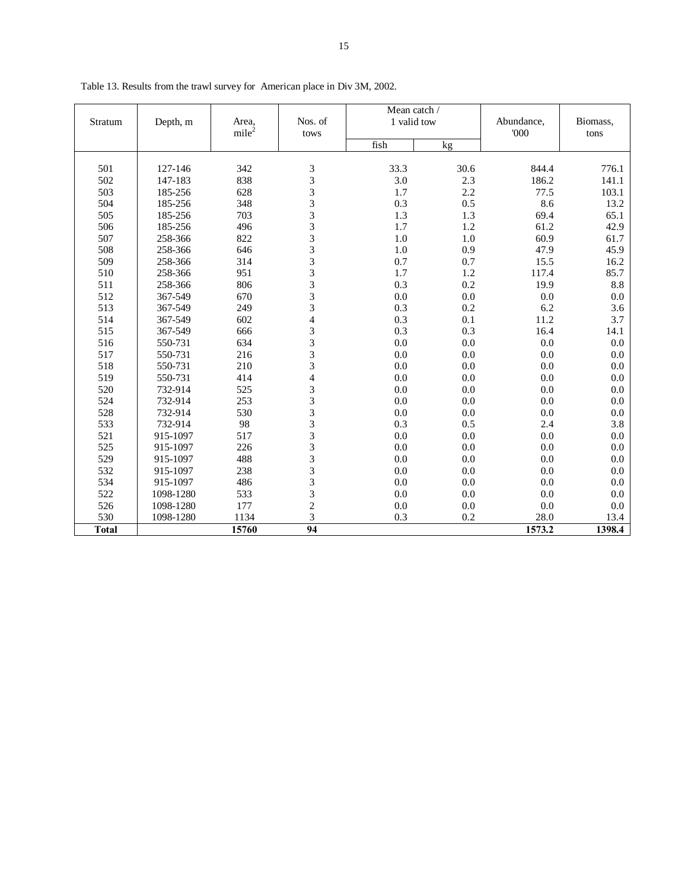|              |                    |                   |                         | Mean catch / |            |               |              |
|--------------|--------------------|-------------------|-------------------------|--------------|------------|---------------|--------------|
| Stratum      | Depth, m           | Area,             | Nos. of                 | 1 valid tow  |            | Abundance,    | Biomass,     |
|              |                    | mile <sup>2</sup> | tows                    |              |            | 000           | tons         |
|              |                    |                   |                         | fish         | kg         |               |              |
| 501          | 127-146            | 342               | 3                       | 33.3         | 30.6       | 844.4         | 776.1        |
| 502          | 147-183            | 838               | 3                       | 3.0          | 2.3        | 186.2         | 141.1        |
| 503          | 185-256            | 628               | 3                       | 1.7          | 2.2        | 77.5          | 103.1        |
| 504          | 185-256            | 348               | 3                       | 0.3          | 0.5        | 8.6           | 13.2         |
| 505          | 185-256            | 703               | 3                       | 1.3          | 1.3        | 69.4          | 65.1         |
| 506          |                    | 496               | 3                       | 1.7          | 1.2        | 61.2          | 42.9         |
|              | 185-256            |                   | 3                       | 1.0          |            |               |              |
| 507<br>508   | 258-366<br>258-366 | 822<br>646        | 3                       | 1.0          | 1.0<br>0.9 | 60.9<br>47.9  | 61.7<br>45.9 |
|              |                    |                   | 3                       |              |            |               |              |
| 509<br>510   | 258-366<br>258-366 | 314<br>951        | 3                       | 0.7<br>1.7   | 0.7<br>1.2 | 15.5<br>117.4 | 16.2<br>85.7 |
|              |                    |                   | 3                       | 0.3          | 0.2        |               |              |
| 511          | 258-366            | 806               |                         |              |            | 19.9          | 8.8          |
| 512          | 367-549            | 670               | 3<br>3                  | 0.0          | 0.0        | 0.0           | 0.0          |
| 513          | 367-549            | 249               |                         | 0.3          | 0.2        | 6.2           | 3.6          |
| 514          | 367-549            | 602               | $\overline{\mathbf{4}}$ | 0.3          | 0.1        | 11.2          | 3.7          |
| 515          | 367-549            | 666               | 3<br>$\overline{3}$     | 0.3          | 0.3        | 16.4          | 14.1         |
| 516          | 550-731            | 634               |                         | 0.0          | 0.0        | 0.0           | 0.0          |
| 517          | 550-731            | 216               | 3                       | 0.0          | 0.0        | 0.0           | 0.0          |
| 518          | 550-731            | 210               | 3                       | 0.0          | 0.0        | 0.0           | 0.0          |
| 519          | 550-731            | 414               | $\overline{\mathbf{4}}$ | 0.0          | 0.0        | 0.0           | 0.0          |
| 520          | 732-914            | 525               | 3                       | 0.0          | 0.0        | 0.0           | $0.0\,$      |
| 524          | 732-914            | 253               | $\overline{3}$          | 0.0          | 0.0        | 0.0           | 0.0          |
| 528          | 732-914            | 530               | 3                       | 0.0          | 0.0        | 0.0           | $0.0\,$      |
| 533          | 732-914            | 98                | 3                       | 0.3          | 0.5        | 2.4           | 3.8          |
| 521          | 915-1097           | 517               | 3                       | 0.0          | 0.0        | 0.0           | 0.0          |
| 525          | 915-1097           | 226               | 3                       | 0.0          | 0.0        | 0.0           | 0.0          |
| 529          | 915-1097           | 488               | $\overline{3}$          | 0.0          | 0.0        | 0.0           | 0.0          |
| 532          | 915-1097           | 238               | 3                       | 0.0          | 0.0        | 0.0           | 0.0          |
| 534          | 915-1097           | 486               | 3                       | 0.0          | 0.0        | 0.0           | 0.0          |
| 522          | 1098-1280          | 533               | 3                       | 0.0          | 0.0        | 0.0           | 0.0          |
| 526          | 1098-1280          | 177               | $\overline{c}$          | 0.0          | 0.0        | 0.0           | 0.0          |
| 530          | 1098-1280          | 1134              | 3                       | 0.3          | 0.2        | 28.0          | 13.4         |
| <b>Total</b> |                    | 15760             | 94                      |              |            | 1573.2        | 1398.4       |

Table 13. Results from the trawl survey for American place in Div 3M, 2002.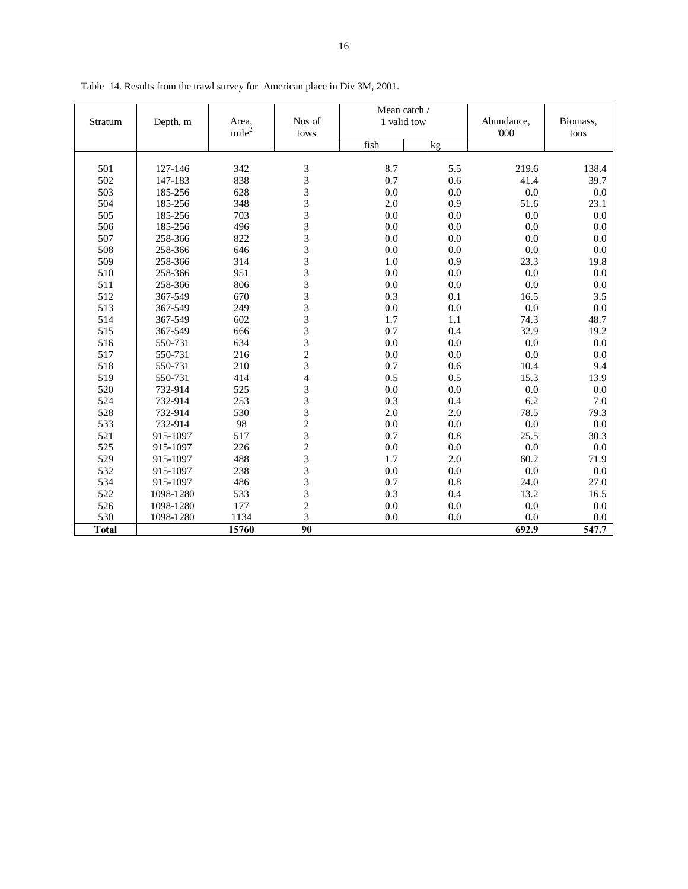|              |           |                   |                 | Mean catch / |     |            |          |
|--------------|-----------|-------------------|-----------------|--------------|-----|------------|----------|
| Stratum      | Depth, m  | Area,             | Nos of          | 1 valid tow  |     | Abundance, | Biomass, |
|              |           | mile <sup>2</sup> | tows            |              |     | '000       | tons     |
|              |           |                   |                 | fish         | kg  |            |          |
|              |           |                   |                 |              |     |            |          |
| 501          | 127-146   | 342               |                 | 8.7          | 5.5 | 219.6      | 138.4    |
| 502          | 147-183   | 838               |                 | 0.7          | 0.6 | 41.4       | 39.7     |
| 503          | 185-256   | 628               | 333333333333323 | 0.0          | 0.0 | $0.0\,$    | 0.0      |
| 504          | 185-256   | 348               |                 | 2.0          | 0.9 | 51.6       | 23.1     |
| 505          | 185-256   | 703               |                 | 0.0          | 0.0 | 0.0        | 0.0      |
| 506          | 185-256   | 496               |                 | 0.0          | 0.0 | 0.0        | 0.0      |
| 507          | 258-366   | 822               |                 | 0.0          | 0.0 | 0.0        | 0.0      |
| 508          | 258-366   | 646               |                 | 0.0          | 0.0 | 0.0        | 0.0      |
| 509          | 258-366   | 314               |                 | 1.0          | 0.9 | 23.3       | 19.8     |
| 510          | 258-366   | 951               |                 | 0.0          | 0.0 | 0.0        | 0.0      |
| 511          | 258-366   | 806               |                 | 0.0          | 0.0 | $0.0\,$    | 0.0      |
| 512          | 367-549   | 670               |                 | 0.3          | 0.1 | 16.5       | 3.5      |
| 513          | 367-549   | 249               |                 | 0.0          | 0.0 | $0.0\,$    | 0.0      |
| 514          | 367-549   | 602               |                 | 1.7          | 1.1 | 74.3       | 48.7     |
| 515          | 367-549   | 666               |                 | 0.7          | 0.4 | 32.9       | 19.2     |
| 516          | 550-731   | 634               |                 | 0.0          | 0.0 | $0.0\,$    | 0.0      |
| 517          | 550-731   | 216               |                 | 0.0          | 0.0 | 0.0        | 0.0      |
| 518          | 550-731   | 210               |                 | 0.7          | 0.6 | 10.4       | 9.4      |
| 519          | 550-731   | 414               | $\overline{4}$  | 0.5          | 0.5 | 15.3       | 13.9     |
| 520          | 732-914   | 525               |                 | 0.0          | 0.0 | 0.0        | 0.0      |
| 524          | 732-914   | 253               |                 | 0.3          | 0.4 | 6.2        | 7.0      |
| 528          | 732-914   | 530               |                 | 2.0          | 2.0 | 78.5       | 79.3     |
| 533          | 732-914   | 98                |                 | 0.0          | 0.0 | $0.0\,$    | 0.0      |
| 521          | 915-1097  | 517               |                 | 0.7          | 0.8 | 25.5       | 30.3     |
| 525          | 915-1097  | 226               |                 | 0.0          | 0.0 | $0.0\,$    | 0.0      |
| 529          | 915-1097  | 488               |                 | 1.7          | 2.0 | 60.2       | 71.9     |
| 532          | 915-1097  | 238               |                 | 0.0          | 0.0 | 0.0        | 0.0      |
| 534          | 915-1097  | 486               | 33323233323     | 0.7          | 0.8 | 24.0       | 27.0     |
| 522          | 1098-1280 | 533               |                 | 0.3          | 0.4 | 13.2       | 16.5     |
| 526          | 1098-1280 | 177               |                 | 0.0          | 0.0 | $0.0\,$    | 0.0      |
| 530          | 1098-1280 | 1134              |                 | 0.0          | 0.0 | 0.0        | 0.0      |
| <b>Total</b> |           | 15760             | 90              |              |     | 692.9      | 547.7    |

Table 14. Results from the trawl survey for American place in Div 3M, 2001.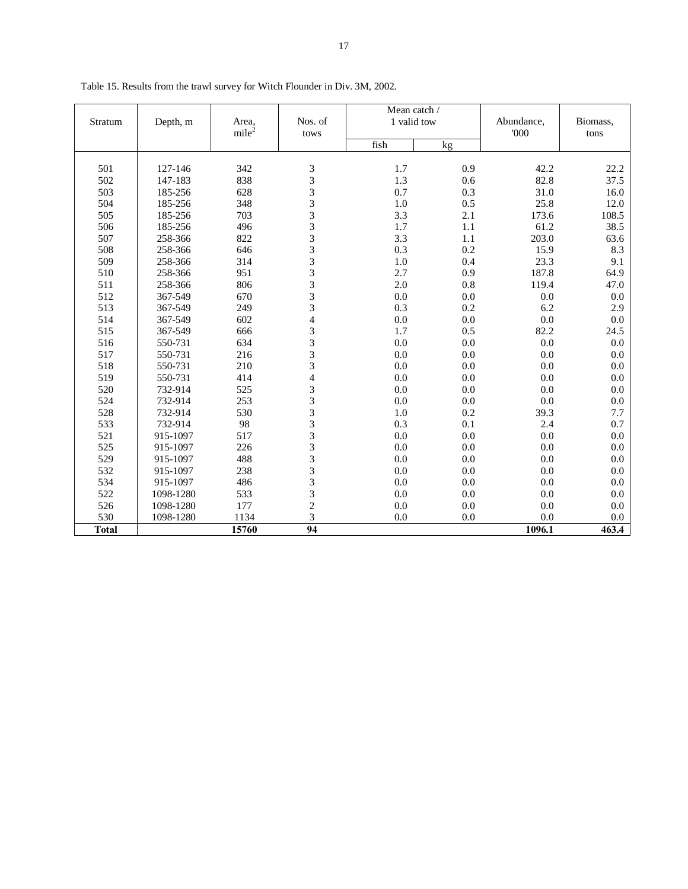|              |           |                   |                         | Mean catch / |     |            |          |
|--------------|-----------|-------------------|-------------------------|--------------|-----|------------|----------|
| Stratum      | Depth, m  | Area,             | Nos. of                 | 1 valid tow  |     | Abundance, | Biomass, |
|              |           | mile <sup>2</sup> | tows                    |              |     | 000        | tons     |
|              |           |                   |                         | fish         | kg  |            |          |
|              |           |                   |                         |              |     |            |          |
| 501          | 127-146   | 342               | 3                       | 1.7          | 0.9 | 42.2       | 22.2     |
| 502          | 147-183   | 838               | 3                       | 1.3          | 0.6 | 82.8       | 37.5     |
| 503          | 185-256   | 628               | 3                       | 0.7          | 0.3 | 31.0       | 16.0     |
| 504          | 185-256   | 348               | 3                       | 1.0          | 0.5 | 25.8       | 12.0     |
| 505          | 185-256   | 703               | 3                       | 3.3          | 2.1 | 173.6      | 108.5    |
| 506          | 185-256   | 496               | 3                       | 1.7          | 1.1 | 61.2       | 38.5     |
| 507          | 258-366   | 822               | 3                       | 3.3          | 1.1 | 203.0      | 63.6     |
| 508          | 258-366   | 646               | 3                       | 0.3          | 0.2 | 15.9       | 8.3      |
| 509          | 258-366   | 314               | 3                       | 1.0          | 0.4 | 23.3       | 9.1      |
| 510          | 258-366   | 951               | 3                       | 2.7          | 0.9 | 187.8      | 64.9     |
| 511          | 258-366   | 806               | 3                       | 2.0          | 0.8 | 119.4      | 47.0     |
| 512          | 367-549   | 670               | 3                       | 0.0          | 0.0 | 0.0        | 0.0      |
| 513          | 367-549   | 249               | 3                       | 0.3          | 0.2 | 6.2        | 2.9      |
| 514          | 367-549   | 602               | $\overline{\mathbf{4}}$ | 0.0          | 0.0 | 0.0        | 0.0      |
| 515          | 367-549   | 666               | 3                       | 1.7          | 0.5 | 82.2       | 24.5     |
| 516          | 550-731   | 634               | 3                       | 0.0          | 0.0 | 0.0        | 0.0      |
| 517          | 550-731   | 216               | 3                       | 0.0          | 0.0 | 0.0        | 0.0      |
| 518          | 550-731   | 210               | 3                       | 0.0          | 0.0 | 0.0        | 0.0      |
| 519          | 550-731   | 414               | $\overline{\mathbf{4}}$ | 0.0          | 0.0 | 0.0        | 0.0      |
| 520          | 732-914   | 525               | 3                       | 0.0          | 0.0 | 0.0        | 0.0      |
| 524          | 732-914   | 253               | 3                       | 0.0          | 0.0 | 0.0        | 0.0      |
| 528          | 732-914   | 530               | 3                       | 1.0          | 0.2 | 39.3       | 7.7      |
| 533          | 732-914   | 98                | 3                       | 0.3          | 0.1 | 2.4        | 0.7      |
| 521          | 915-1097  | 517               | 3                       | 0.0          | 0.0 | 0.0        | 0.0      |
| 525          | 915-1097  | 226               | 3                       | 0.0          | 0.0 | 0.0        | 0.0      |
| 529          | 915-1097  | 488               | 3                       | 0.0          | 0.0 | 0.0        | 0.0      |
| 532          | 915-1097  | 238               | $\overline{3}$          | 0.0          | 0.0 | 0.0        | 0.0      |
| 534          | 915-1097  | 486               | 3                       | 0.0          | 0.0 | 0.0        | 0.0      |
| 522          | 1098-1280 | 533               | $\overline{3}$          | 0.0          | 0.0 | 0.0        | 0.0      |
| 526          | 1098-1280 | 177               | $\overline{c}$          | 0.0          | 0.0 | 0.0        | 0.0      |
| 530          | 1098-1280 | 1134              | 3                       | 0.0          | 0.0 | 0.0        | 0.0      |
| <b>Total</b> |           | 15760             | 94                      |              |     | 1096.1     | 463.4    |

Table 15. Results from the trawl survey for Witch Flounder in Div. 3M, 2002.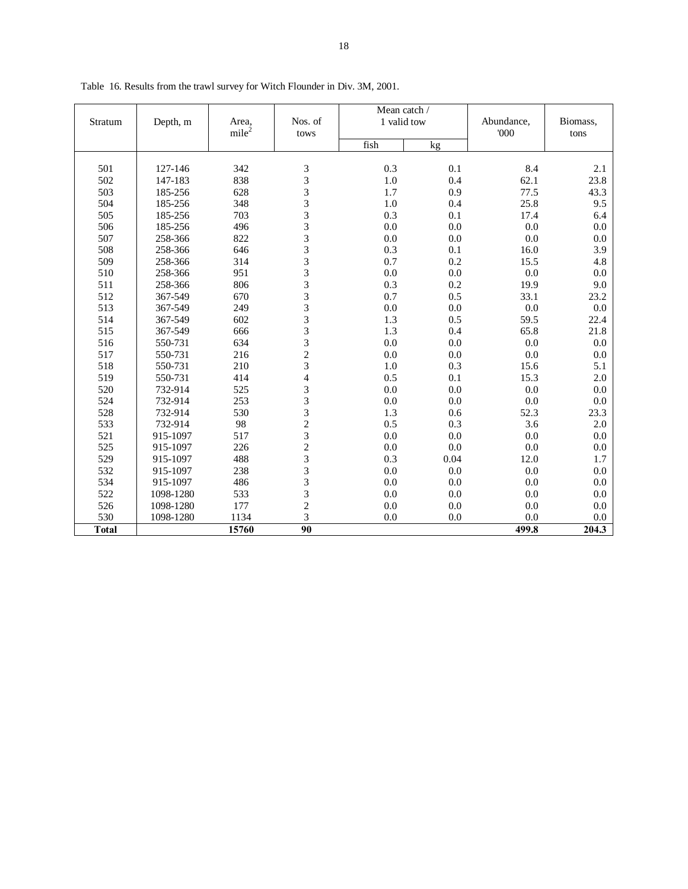|              |           |                            |                                                      | Mean catch / |         |                   |                  |
|--------------|-----------|----------------------------|------------------------------------------------------|--------------|---------|-------------------|------------------|
| Stratum      | Depth, m  | Area,<br>mile <sup>2</sup> | Nos. of<br>tows                                      | 1 valid tow  |         | Abundance,<br>000 | Biomass,<br>tons |
|              |           |                            |                                                      | fish         | kg      |                   |                  |
|              |           |                            |                                                      |              |         |                   |                  |
| 501          | 127-146   | 342                        | 3                                                    | 0.3          | 0.1     | 8.4               | 2.1              |
| 502          | 147-183   | 838                        |                                                      | 1.0          | 0.4     | 62.1              | 23.8             |
| 503          | 185-256   | 628                        | $\begin{array}{c} 3 \\ 3 \\ 3 \end{array}$           | 1.7          | 0.9     | 77.5              | 43.3             |
| 504          | 185-256   | 348                        |                                                      | 1.0          | 0.4     | 25.8              | 9.5              |
| 505          | 185-256   | 703                        | $\frac{3}{3}$                                        | 0.3          | 0.1     | 17.4              | 6.4              |
| 506          | 185-256   | 496                        |                                                      | 0.0          | $0.0\,$ | 0.0               | 0.0              |
| 507          | 258-366   | 822                        | $\frac{3}{3}$                                        | 0.0          | 0.0     | 0.0               | 0.0              |
| 508          | 258-366   | 646                        |                                                      | 0.3          | 0.1     | 16.0              | 3.9              |
| 509          | 258-366   | 314                        | $\frac{3}{3}$                                        | 0.7          | 0.2     | 15.5              | 4.8              |
| 510          | 258-366   | 951                        |                                                      | 0.0          | 0.0     | 0.0               | 0.0              |
| 511          | 258-366   | 806                        |                                                      | 0.3          | 0.2     | 19.9              | 9.0              |
| 512          | 367-549   | 670                        | $\begin{array}{c} 3 \\ 3 \\ 3 \\ 3 \end{array}$      | 0.7          | 0.5     | 33.1              | 23.2             |
| 513          | 367-549   | 249                        |                                                      | 0.0          | 0.0     | $0.0\,$           | $0.0\,$          |
| 514          | 367-549   | 602                        |                                                      | 1.3          | 0.5     | 59.5              | 22.4             |
| 515          | 367-549   | 666                        |                                                      | 1.3          | 0.4     | 65.8              | 21.8             |
| 516          | 550-731   | 634                        | $\begin{array}{c} 3 \\ 3 \\ 2 \\ 3 \end{array}$      | 0.0          | 0.0     | 0.0               | 0.0              |
| 517          | 550-731   | 216                        |                                                      | 0.0          | 0.0     | 0.0               | 0.0              |
| 518          | 550-731   | 210                        |                                                      | 1.0          | 0.3     | 15.6              | 5.1              |
| 519          | 550-731   | 414                        | $\overline{4}$                                       | 0.5          | 0.1     | 15.3              | 2.0              |
| 520          | 732-914   | 525                        | $\frac{3}{3}$                                        | 0.0          | $0.0\,$ | 0.0               | 0.0              |
| 524          | 732-914   | 253                        |                                                      | 0.0          | 0.0     | 0.0               | 0.0              |
| 528          | 732-914   | 530                        |                                                      | 1.3          | 0.6     | 52.3              | 23.3             |
| 533          | 732-914   | 98                         | $\begin{array}{c} 3 \\ 2 \\ 3 \\ 2 \\ 3 \end{array}$ | 0.5          | 0.3     | 3.6               | 2.0              |
| 521          | 915-1097  | 517                        |                                                      | 0.0          | 0.0     | 0.0               | 0.0              |
| 525          | 915-1097  | 226                        |                                                      | 0.0          | 0.0     | 0.0               | 0.0              |
| 529          | 915-1097  | 488                        |                                                      | 0.3          | 0.04    | 12.0              | 1.7              |
| 532          | 915-1097  | 238                        | 3                                                    | 0.0          | $0.0\,$ | 0.0               | 0.0              |
| 534          | 915-1097  | 486                        | 3                                                    | 0.0          | 0.0     | 0.0               | 0.0              |
| 522          | 1098-1280 | 533                        | 3                                                    | 0.0          | 0.0     | 0.0               | 0.0              |
| 526          | 1098-1280 | 177                        | $\frac{2}{3}$                                        | 0.0          | 0.0     | 0.0               | 0.0              |
| 530          | 1098-1280 | 1134                       |                                                      | 0.0          | 0.0     | 0.0               | 0.0              |
| <b>Total</b> |           | 15760                      | 90                                                   |              |         | 499.8             | 204.3            |

Table 16. Results from the trawl survey for Witch Flounder in Div. 3M, 2001.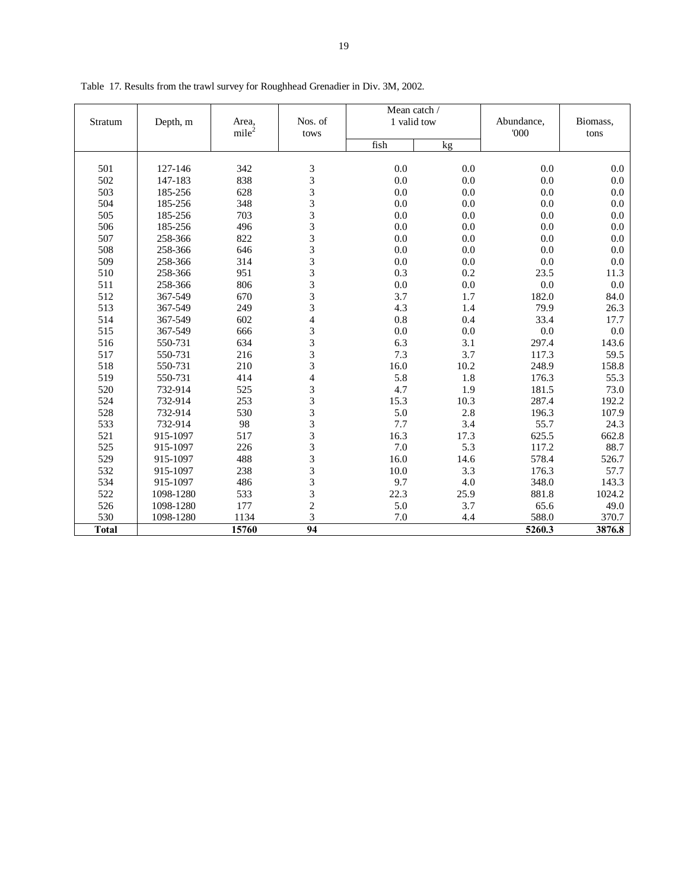|              |           |                            |                          | Mean catch / |      |                    |                  |
|--------------|-----------|----------------------------|--------------------------|--------------|------|--------------------|------------------|
| Stratum      | Depth, m  | Area,<br>mile <sup>2</sup> | Nos. of<br>tows          | 1 valid tow  |      | Abundance,<br>'000 | Biomass,<br>tons |
|              |           |                            |                          | fish         | kg   |                    |                  |
|              |           |                            |                          |              |      |                    |                  |
| 501          | 127-146   | 342                        | 3                        | 0.0          | 0.0  | 0.0                | 0.0              |
| 502          | 147-183   | 838                        | 3                        | 0.0          | 0.0  | 0.0                | 0.0              |
| 503          | 185-256   | 628                        | 3                        | 0.0          | 0.0  | 0.0                | 0.0              |
| 504          | 185-256   | 348                        | 3                        | 0.0          | 0.0  | 0.0                | 0.0              |
| 505          | 185-256   | 703                        | 3                        | 0.0          | 0.0  | 0.0                | 0.0              |
| 506          | 185-256   | 496                        | 3                        | 0.0          | 0.0  | 0.0                | 0.0              |
| 507          | 258-366   | 822                        | 3                        | 0.0          | 0.0  | 0.0                | 0.0              |
| 508          | 258-366   | 646                        | 3                        | 0.0          | 0.0  | 0.0                | 0.0              |
| 509          | 258-366   | 314                        | 3                        | 0.0          | 0.0  | 0.0                | 0.0              |
| 510          | 258-366   | 951                        | 3                        | 0.3          | 0.2  | 23.5               | 11.3             |
| 511          | 258-366   | 806                        | 3                        | 0.0          | 0.0  | 0.0                | 0.0              |
| 512          | 367-549   | 670                        | 3                        | 3.7          | 1.7  | 182.0              | 84.0             |
| 513          | 367-549   | 249                        | 3                        | 4.3          | 1.4  | 79.9               | 26.3             |
| 514          | 367-549   | 602                        | $\overline{\mathbf{4}}$  | 0.8          | 0.4  | 33.4               | 17.7             |
| 515          | 367-549   | 666                        | 3                        | 0.0          | 0.0  | 0.0                | 0.0              |
| 516          | 550-731   | 634                        | 3                        | 6.3          | 3.1  | 297.4              | 143.6            |
| 517          | 550-731   | 216                        | 3                        | 7.3          | 3.7  | 117.3              | 59.5             |
| 518          | 550-731   | 210                        | 3                        | 16.0         | 10.2 | 248.9              | 158.8            |
| 519          | 550-731   | 414                        | $\overline{\mathcal{L}}$ | 5.8          | 1.8  | 176.3              | 55.3             |
| 520          | 732-914   | 525                        | 3                        | 4.7          | 1.9  | 181.5              | 73.0             |
| 524          | 732-914   | 253                        | 3                        | 15.3         | 10.3 | 287.4              | 192.2            |
| 528          | 732-914   | 530                        | 3                        | 5.0          | 2.8  | 196.3              | 107.9            |
| 533          | 732-914   | 98                         | 3                        | 7.7          | 3.4  | 55.7               | 24.3             |
| 521          | 915-1097  | 517                        | 3                        | 16.3         | 17.3 | 625.5              | 662.8            |
| 525          | 915-1097  | 226                        | 3                        | 7.0          | 5.3  | 117.2              | 88.7             |
| 529          | 915-1097  | 488                        | 3                        | 16.0         | 14.6 | 578.4              | 526.7            |
| 532          | 915-1097  | 238                        | 3                        | 10.0         | 3.3  | 176.3              | 57.7             |
| 534          | 915-1097  | 486                        | 3                        | 9.7          | 4.0  | 348.0              | 143.3            |
| 522          | 1098-1280 | 533                        | 3                        | 22.3         | 25.9 | 881.8              | 1024.2           |
| 526          | 1098-1280 | 177                        | $\overline{c}$           | 5.0          | 3.7  | 65.6               | 49.0             |
| 530          | 1098-1280 | 1134                       | 3                        | 7.0          | 4.4  | 588.0              | 370.7            |
| <b>Total</b> |           | 15760                      | $\overline{94}$          |              |      | 5260.3             | 3876.8           |

Table 17. Results from the trawl survey for Roughhead Grenadier in Div. 3M, 2002.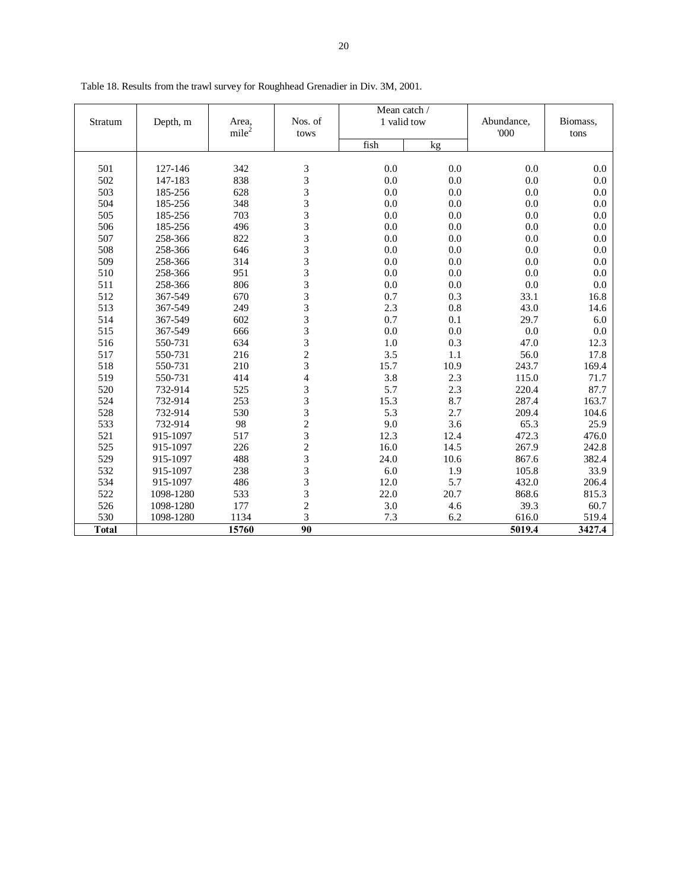|              |           |                            |                                            | Mean catch / |      |                    |                  |
|--------------|-----------|----------------------------|--------------------------------------------|--------------|------|--------------------|------------------|
| Stratum      | Depth, m  | Area,<br>mile <sup>2</sup> | Nos. of<br>tows                            | 1 valid tow  |      | Abundance,<br>'000 | Biomass,<br>tons |
|              |           |                            |                                            | fish         | kg   |                    |                  |
|              |           |                            |                                            |              |      |                    |                  |
| 501          | 127-146   | 342                        | 3                                          | 0.0          | 0.0  | 0.0                | 0.0              |
| 502          | 147-183   | 838                        | $\begin{array}{c} 3 \\ 3 \\ 3 \end{array}$ | 0.0          | 0.0  | 0.0                | 0.0              |
| 503          | 185-256   | 628                        |                                            | 0.0          | 0.0  | 0.0                | 0.0              |
| 504          | 185-256   | 348                        |                                            | 0.0          | 0.0  | 0.0                | 0.0              |
| 505          | 185-256   | 703                        | 3                                          | 0.0          | 0.0  | 0.0                | 0.0              |
| 506          | 185-256   | 496                        | 3                                          | 0.0          | 0.0  | $0.0\,$            | 0.0              |
| 507          | 258-366   | 822                        | $\frac{3}{3}$                              | 0.0          | 0.0  | 0.0                | 0.0              |
| 508          | 258-366   | 646                        |                                            | 0.0          | 0.0  | 0.0                | 0.0              |
| 509          | 258-366   | 314                        | $\frac{3}{3}$                              | 0.0          | 0.0  | 0.0                | 0.0              |
| 510          | 258-366   | 951                        |                                            | 0.0          | 0.0  | 0.0                | 0.0              |
| 511          | 258-366   | 806                        | $\frac{3}{3}$                              | 0.0          | 0.0  | 0.0                | 0.0              |
| 512          | 367-549   | 670                        |                                            | 0.7          | 0.3  | 33.1               | 16.8             |
| 513          | 367-549   | 249                        | 3                                          | 2.3          | 0.8  | 43.0               | 14.6             |
| 514          | 367-549   | 602                        | 3                                          | 0.7          | 0.1  | 29.7               | 6.0              |
| 515          | 367-549   | 666                        | $\frac{3}{3}$                              | 0.0          | 0.0  | 0.0                | 0.0              |
| 516          | 550-731   | 634                        |                                            | 1.0          | 0.3  | 47.0               | 12.3             |
| 517          | 550-731   | 216                        | $\frac{2}{3}$                              | 3.5          | 1.1  | 56.0               | 17.8             |
| 518          | 550-731   | 210                        |                                            | 15.7         | 10.9 | 243.7              | 169.4            |
| 519          | 550-731   | 414                        | $\overline{4}$                             | 3.8          | 2.3  | 115.0              | 71.7             |
| 520          | 732-914   | 525                        |                                            | 5.7          | 2.3  | 220.4              | 87.7             |
| 524          | 732-914   | 253                        |                                            | 15.3         | 8.7  | 287.4              | 163.7            |
| 528          | 732-914   | 530                        |                                            | 5.3          | 2.7  | 209.4              | 104.6            |
| 533          | 732-914   | 98                         | $33323$<br>$2323$                          | 9.0          | 3.6  | 65.3               | 25.9             |
| 521          | 915-1097  | 517                        |                                            | 12.3         | 12.4 | 472.3              | 476.0            |
| 525          | 915-1097  | 226                        |                                            | 16.0         | 14.5 | 267.9              | 242.8            |
| 529          | 915-1097  | 488                        |                                            | 24.0         | 10.6 | 867.6              | 382.4            |
| 532          | 915-1097  | 238                        | $\overline{3}$                             | 6.0          | 1.9  | 105.8              | 33.9             |
| 534          | 915-1097  | 486                        | $\frac{3}{3}$                              | 12.0         | 5.7  | 432.0              | 206.4            |
| 522          | 1098-1280 | 533                        |                                            | 22.0         | 20.7 | 868.6              | 815.3            |
| 526          | 1098-1280 | 177                        | $\frac{2}{3}$                              | 3.0          | 4.6  | 39.3               | 60.7             |
| 530          | 1098-1280 | 1134                       |                                            | 7.3          | 6.2  | 616.0              | 519.4            |
| <b>Total</b> |           | 15760                      | 90                                         |              |      | 5019.4             | 3427.4           |

Table 18. Results from the trawl survey for Roughhead Grenadier in Div. 3M, 2001.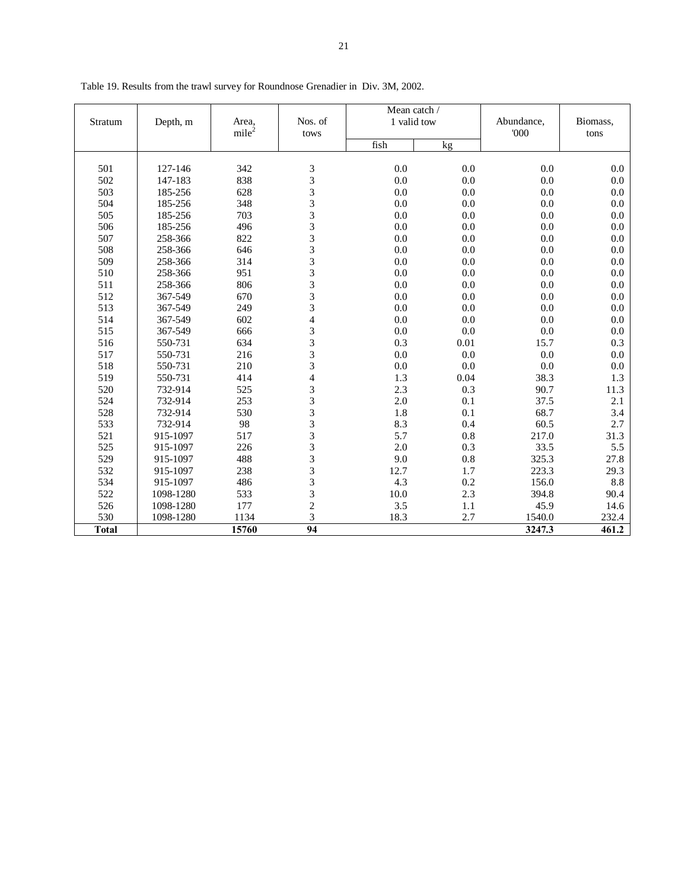|              |           |                   |                         | Mean catch / |         |            |          |
|--------------|-----------|-------------------|-------------------------|--------------|---------|------------|----------|
| Stratum      | Depth, m  | Area,             | Nos. of                 | 1 valid tow  |         | Abundance, | Biomass, |
|              |           | mile <sup>2</sup> | tows                    |              |         | 000        | tons     |
|              |           |                   |                         | fish         | kg      |            |          |
| 501          | 127-146   | 342               | 3                       | 0.0          | 0.0     | 0.0        | 0.0      |
|              |           |                   | 3                       |              |         |            |          |
| 502          | 147-183   | 838               |                         | 0.0          | 0.0     | 0.0        | 0.0      |
| 503          | 185-256   | 628               | 3                       | 0.0          | 0.0     | 0.0        | 0.0      |
| 504          | 185-256   | 348               | 3                       | 0.0          | 0.0     | 0.0        | 0.0      |
| 505          | 185-256   | 703               | 3                       | 0.0          | 0.0     | 0.0        | 0.0      |
| 506          | 185-256   | 496               | 3                       | 0.0          | 0.0     | 0.0        | 0.0      |
| 507          | 258-366   | 822               | 3                       | 0.0          | 0.0     | 0.0        | 0.0      |
| 508          | 258-366   | 646               | 3                       | 0.0          | 0.0     | 0.0        | 0.0      |
| 509          | 258-366   | 314               | 3                       | 0.0          | 0.0     | 0.0        | 0.0      |
| 510          | 258-366   | 951               | 3                       | 0.0          | 0.0     | 0.0        | 0.0      |
| 511          | 258-366   | 806               | $\overline{3}$          | 0.0          | 0.0     | 0.0        | 0.0      |
| 512          | 367-549   | 670               | 3                       | 0.0          | 0.0     | 0.0        | 0.0      |
| 513          | 367-549   | 249               | $\overline{3}$          | 0.0          | 0.0     | 0.0        | 0.0      |
| 514          | 367-549   | 602               | $\overline{4}$          | 0.0          | 0.0     | 0.0        | 0.0      |
| 515          | 367-549   | 666               | 3                       | 0.0          | 0.0     | 0.0        | 0.0      |
| 516          | 550-731   | 634               | 3                       | 0.3          | 0.01    | 15.7       | 0.3      |
| 517          | 550-731   | 216               | 3                       | 0.0          | 0.0     | 0.0        | 0.0      |
| 518          | 550-731   | 210               | 3                       | 0.0          | 0.0     | 0.0        | 0.0      |
| 519          | 550-731   | 414               | $\overline{4}$          | 1.3          | 0.04    | 38.3       | 1.3      |
| 520          | 732-914   | 525               | 3                       | 2.3          | 0.3     | 90.7       | 11.3     |
| 524          | 732-914   | 253               | 3                       | 2.0          | 0.1     | 37.5       | 2.1      |
| 528          | 732-914   | 530               | 3                       | 1.8          | 0.1     | 68.7       | 3.4      |
| 533          | 732-914   | 98                | 3                       | 8.3          | 0.4     | 60.5       | 2.7      |
| 521          | 915-1097  | 517               | 3                       | 5.7          | 0.8     | 217.0      | 31.3     |
| 525          | 915-1097  | 226               | 3                       | 2.0          | 0.3     | 33.5       | 5.5      |
| 529          | 915-1097  | 488               | $\overline{\mathbf{3}}$ | 9.0          | 0.8     | 325.3      | 27.8     |
| 532          | 915-1097  | 238               | 3                       | 12.7         | 1.7     | 223.3      | 29.3     |
| 534          | 915-1097  | 486               | 3                       | 4.3          | 0.2     | 156.0      | 8.8      |
| 522          | 1098-1280 | 533               | 3                       | 10.0         | 2.3     | 394.8      | 90.4     |
| 526          | 1098-1280 | 177               | $\overline{c}$          | 3.5          | $1.1\,$ | 45.9       | 14.6     |
| 530          | 1098-1280 | 1134              | 3                       | 18.3         | 2.7     | 1540.0     | 232.4    |
| <b>Total</b> |           | 15760             | $\overline{94}$         |              |         | 3247.3     | 461.2    |

Table 19. Results from the trawl survey for Roundnose Grenadier in Div. 3M, 2002.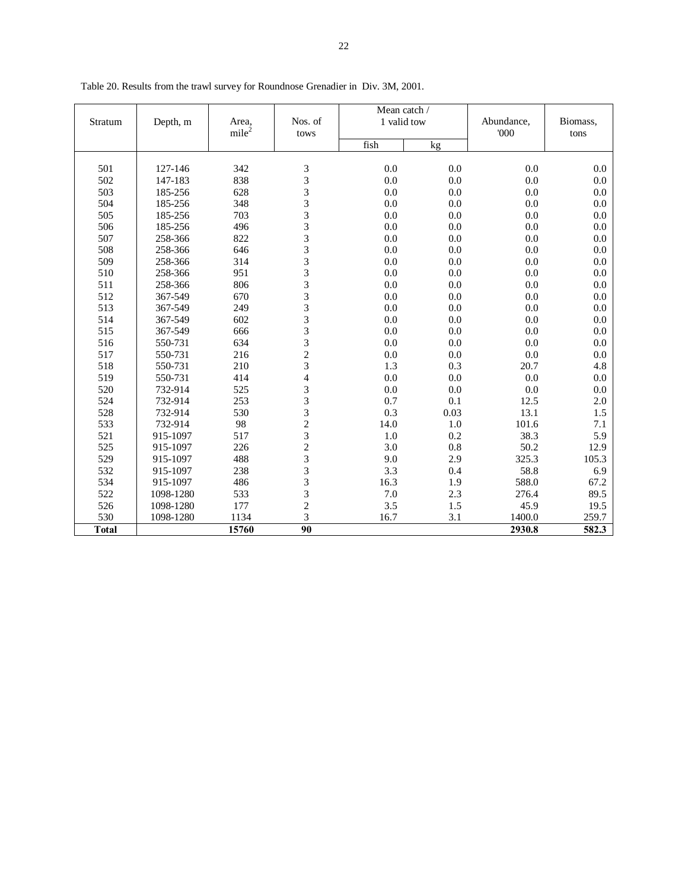|              |           |                   |                                                 | Mean catch / |      |            |          |
|--------------|-----------|-------------------|-------------------------------------------------|--------------|------|------------|----------|
| Stratum      | Depth, m  | Area,             | Nos. of                                         | 1 valid tow  |      | Abundance, | Biomass, |
|              |           | mile <sup>2</sup> | tows                                            | fish         | kg   | 000        | tons     |
|              |           |                   |                                                 |              |      |            |          |
| 501          | 127-146   | 342               |                                                 | 0.0          | 0.0  | 0.0        | 0.0      |
| 502          | 147-183   | 838               | $\begin{array}{c} 3 \\ 3 \\ 3 \\ 3 \end{array}$ | 0.0          | 0.0  | 0.0        | 0.0      |
| 503          | 185-256   | 628               |                                                 | 0.0          | 0.0  | 0.0        | 0.0      |
| 504          | 185-256   | 348               |                                                 | 0.0          | 0.0  | 0.0        | 0.0      |
| 505          | 185-256   | 703               |                                                 | 0.0          | 0.0  | 0.0        | 0.0      |
| 506          | 185-256   | 496               | 333333                                          | 0.0          | 0.0  | 0.0        | 0.0      |
| 507          | 258-366   | 822               |                                                 | 0.0          | 0.0  | 0.0        | 0.0      |
| 508          | 258-366   | 646               |                                                 | 0.0          | 0.0  | 0.0        | 0.0      |
| 509          | 258-366   | 314               |                                                 | 0.0          | 0.0  | 0.0        | 0.0      |
| 510          | 258-366   | 951               |                                                 | 0.0          | 0.0  | $0.0\,$    | 0.0      |
| 511          | 258-366   | 806               |                                                 | 0.0          | 0.0  | 0.0        | 0.0      |
| 512          | 367-549   | 670               |                                                 | 0.0          | 0.0  | $0.0\,$    | 0.0      |
| 513          | 367-549   | 249               | $\frac{3}{3}$                                   | 0.0          | 0.0  | 0.0        | 0.0      |
| 514          | 367-549   | 602               | 3                                               | 0.0          | 0.0  | 0.0        | 0.0      |
| 515          | 367-549   | 666               |                                                 | 0.0          | 0.0  | 0.0        | 0.0      |
| 516          | 550-731   | 634               | $\begin{array}{c} 3 \\ 3 \\ 2 \\ 3 \end{array}$ | 0.0          | 0.0  | 0.0        | 0.0      |
| 517          | 550-731   | 216               |                                                 | 0.0          | 0.0  | 0.0        | 0.0      |
| 518          | 550-731   | 210               |                                                 | 1.3          | 0.3  | 20.7       | 4.8      |
| 519          | 550-731   | 414               | $\overline{4}$                                  | 0.0          | 0.0  | 0.0        | 0.0      |
| 520          | 732-914   | 525               |                                                 | 0.0          | 0.0  | 0.0        | 0.0      |
| 524          | 732-914   | 253               |                                                 | 0.7          | 0.1  | 12.5       | 2.0      |
| 528          | 732-914   | 530               | $33323$<br>$2323$                               | 0.3          | 0.03 | 13.1       | 1.5      |
| 533          | 732-914   | 98                |                                                 | 14.0         | 1.0  | 101.6      | 7.1      |
| 521          | 915-1097  | 517               |                                                 | 1.0          | 0.2  | 38.3       | 5.9      |
| 525          | 915-1097  | 226               |                                                 | 3.0          | 0.8  | 50.2       | 12.9     |
| 529          | 915-1097  | 488               |                                                 | 9.0          | 2.9  | 325.3      | 105.3    |
| 532          | 915-1097  | 238               | $\overline{3}$                                  | 3.3          | 0.4  | 58.8       | 6.9      |
| 534          | 915-1097  | 486               | $\frac{3}{3}$                                   | 16.3         | 1.9  | 588.0      | 67.2     |
| 522          | 1098-1280 | 533               |                                                 | 7.0          | 2.3  | 276.4      | 89.5     |
| 526          | 1098-1280 | 177               | $\frac{2}{3}$                                   | 3.5          | 1.5  | 45.9       | 19.5     |
| 530          | 1098-1280 | 1134              |                                                 | 16.7         | 3.1  | 1400.0     | 259.7    |
| <b>Total</b> |           | 15760             | 90                                              |              |      | 2930.8     | 582.3    |

Table 20. Results from the trawl survey for Roundnose Grenadier in Div. 3M, 2001.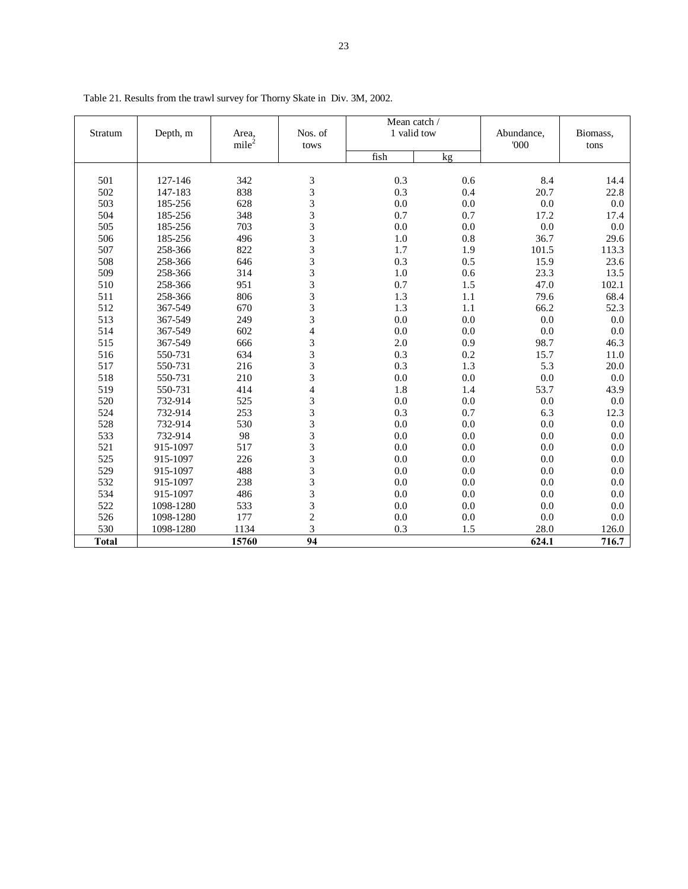|              | Depth, m  | Area,             | Nos. of                 | Mean catch /<br>1 valid tow |     | Abundance, | Biomass, |
|--------------|-----------|-------------------|-------------------------|-----------------------------|-----|------------|----------|
| Stratum      |           | mile <sup>2</sup> | tows                    |                             |     | 000        | tons     |
|              |           |                   |                         | fish                        | kg  |            |          |
|              |           |                   |                         |                             |     |            |          |
| 501          | 127-146   | 342               | $\mathfrak 3$           | 0.3                         | 0.6 | 8.4        | 14.4     |
| 502          | 147-183   | 838               | 3                       | 0.3                         | 0.4 | 20.7       | 22.8     |
| 503          | 185-256   | 628               | 3                       | 0.0                         | 0.0 | 0.0        | 0.0      |
| 504          | 185-256   | 348               | 3                       | 0.7                         | 0.7 | 17.2       | 17.4     |
| 505          | 185-256   | 703               | 3                       | 0.0                         | 0.0 | 0.0        | 0.0      |
| 506          | 185-256   | 496               | 3                       | 1.0                         | 0.8 | 36.7       | 29.6     |
| 507          | 258-366   | 822               | 3                       | 1.7                         | 1.9 | 101.5      | 113.3    |
| 508          | 258-366   | 646               | $\overline{\mathbf{3}}$ | 0.3                         | 0.5 | 15.9       | 23.6     |
| 509          | 258-366   | 314               | 3                       | 1.0                         | 0.6 | 23.3       | 13.5     |
| 510          | 258-366   | 951               | 3                       | 0.7                         | 1.5 | 47.0       | 102.1    |
| 511          | 258-366   | 806               | 3                       | 1.3                         | 1.1 | 79.6       | 68.4     |
| 512          | 367-549   | 670               | 3                       | 1.3                         | 1.1 | 66.2       | 52.3     |
| 513          | 367-549   | 249               | 3                       | 0.0                         | 0.0 | 0.0        | $0.0\,$  |
| 514          | 367-549   | 602               | $\overline{4}$          | 0.0                         | 0.0 | 0.0        | 0.0      |
| 515          | 367-549   | 666               | 3                       | 2.0                         | 0.9 | 98.7       | 46.3     |
| 516          | 550-731   | 634               | 3                       | 0.3                         | 0.2 | 15.7       | 11.0     |
| 517          | 550-731   | 216               | 3                       | 0.3                         | 1.3 | 5.3        | 20.0     |
| 518          | 550-731   | 210               | 3                       | 0.0                         | 0.0 | 0.0        | 0.0      |
| 519          | 550-731   | 414               | 4                       | 1.8                         | 1.4 | 53.7       | 43.9     |
| 520          | 732-914   | 525               | 3                       | 0.0                         | 0.0 | 0.0        | 0.0      |
| 524          | 732-914   | 253               | 3                       | 0.3                         | 0.7 | 6.3        | 12.3     |
| 528          | 732-914   | 530               | 3                       | 0.0                         | 0.0 | 0.0        | 0.0      |
| 533          | 732-914   | 98                | 3                       | 0.0                         | 0.0 | 0.0        | 0.0      |
| 521          | 915-1097  | 517               | 3                       | 0.0                         | 0.0 | 0.0        | 0.0      |
| 525          | 915-1097  | 226               | 3                       | 0.0                         | 0.0 | 0.0        | 0.0      |
| 529          | 915-1097  | 488               | 3                       | 0.0                         | 0.0 | 0.0        | 0.0      |
| 532          | 915-1097  | 238               | 3                       | 0.0                         | 0.0 | 0.0        | 0.0      |
| 534          | 915-1097  | 486               | 3                       | 0.0                         | 0.0 | 0.0        | 0.0      |
| 522          | 1098-1280 | 533               | 3                       | 0.0                         | 0.0 | 0.0        | 0.0      |
| 526          | 1098-1280 | 177               | $\overline{c}$          | 0.0                         | 0.0 | 0.0        | $0.0\,$  |
| 530          | 1098-1280 | 1134              | 3                       | 0.3                         | 1.5 | 28.0       | 126.0    |
| <b>Total</b> |           | 15760             | $\overline{94}$         |                             |     | 624.1      | 716.7    |

Table 21. Results from the trawl survey for Thorny Skate in Div. 3M, 2002.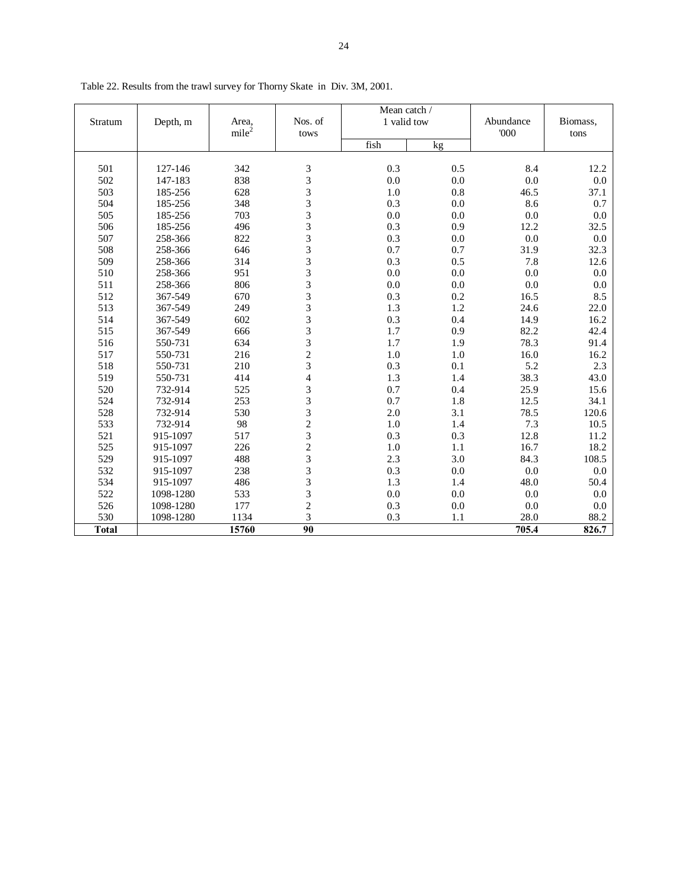|              |           |                   |                          | Mean catch / |         |           |          |
|--------------|-----------|-------------------|--------------------------|--------------|---------|-----------|----------|
| Stratum      | Depth, m  | Area,             | Nos. of                  | 1 valid tow  |         | Abundance | Biomass, |
|              |           | mile <sup>2</sup> | tows                     |              |         | 000       | tons     |
|              |           |                   |                          | fish         | kg      |           |          |
|              |           |                   |                          |              |         |           |          |
| 501          | 127-146   | 342               | 3                        | 0.3          | 0.5     | 8.4       | 12.2     |
| 502          | 147-183   | 838               | 3                        | 0.0          | $0.0\,$ | 0.0       | 0.0      |
| 503          | 185-256   | 628               | 3                        | 1.0          | 0.8     | 46.5      | 37.1     |
| 504          | 185-256   | 348               | 3                        | 0.3          | $0.0\,$ | 8.6       | 0.7      |
| 505          | 185-256   | 703               | 3                        | 0.0          | $0.0\,$ | 0.0       | 0.0      |
| 506          | 185-256   | 496               | 3                        | 0.3          | 0.9     | 12.2      | 32.5     |
| 507          | 258-366   | 822               | 3                        | 0.3          | $0.0\,$ | 0.0       | 0.0      |
| 508          | 258-366   | 646               | 3                        | 0.7          | 0.7     | 31.9      | 32.3     |
| 509          | 258-366   | 314               | 3                        | 0.3          | 0.5     | 7.8       | 12.6     |
| 510          | 258-366   | 951               | 3                        | $0.0\,$      | $0.0\,$ | 0.0       | $0.0\,$  |
| 511          | 258-366   | 806               | 3                        | 0.0          | $0.0\,$ | 0.0       | 0.0      |
| 512          | 367-549   | 670               | 3                        | 0.3          | 0.2     | 16.5      | 8.5      |
| 513          | 367-549   | 249               | 3                        | 1.3          | 1.2     | 24.6      | 22.0     |
| 514          | 367-549   | 602               | 3                        | 0.3          | 0.4     | 14.9      | 16.2     |
| 515          | 367-549   | 666               | 3                        | 1.7          | 0.9     | 82.2      | 42.4     |
| 516          | 550-731   | 634               | 3                        | 1.7          | 1.9     | 78.3      | 91.4     |
| 517          | 550-731   | 216               | $\overline{c}$           | 1.0          | 1.0     | 16.0      | 16.2     |
| 518          | 550-731   | 210               | 3                        | 0.3          | 0.1     | 5.2       | 2.3      |
| 519          | 550-731   | 414               | $\overline{\mathcal{L}}$ | 1.3          | 1.4     | 38.3      | 43.0     |
| 520          | 732-914   | 525               | 3                        | 0.7          | 0.4     | 25.9      | 15.6     |
| 524          | 732-914   | 253               | 3                        | 0.7          | 1.8     | 12.5      | 34.1     |
| 528          | 732-914   | 530               | 3                        | 2.0          | 3.1     | 78.5      | 120.6    |
| 533          | 732-914   | 98                | $\overline{c}$           | 1.0          | 1.4     | 7.3       | 10.5     |
| 521          | 915-1097  | 517               | 3                        | 0.3          | 0.3     | 12.8      | 11.2     |
| 525          | 915-1097  | 226               | $\overline{c}$           | 1.0          | 1.1     | 16.7      | 18.2     |
| 529          | 915-1097  | 488               | 3                        | 2.3          | 3.0     | 84.3      | 108.5    |
| 532          | 915-1097  | 238               | 3                        | 0.3          | $0.0\,$ | 0.0       | 0.0      |
| 534          | 915-1097  | 486               | 3                        | 1.3          | 1.4     | 48.0      | 50.4     |
| 522          | 1098-1280 | 533               | 3                        | $0.0\,$      | $0.0\,$ | 0.0       | 0.0      |
| 526          | 1098-1280 | 177               |                          | 0.3          | 0.0     | 0.0       | 0.0      |
| 530          | 1098-1280 | 1134              | $\frac{2}{3}$            | 0.3          | 1.1     | 28.0      | 88.2     |
| <b>Total</b> |           | 15760             | 90                       |              |         | 705.4     | 826.7    |

Table 22. Results from the trawl survey for Thorny Skate in Div. 3M, 2001.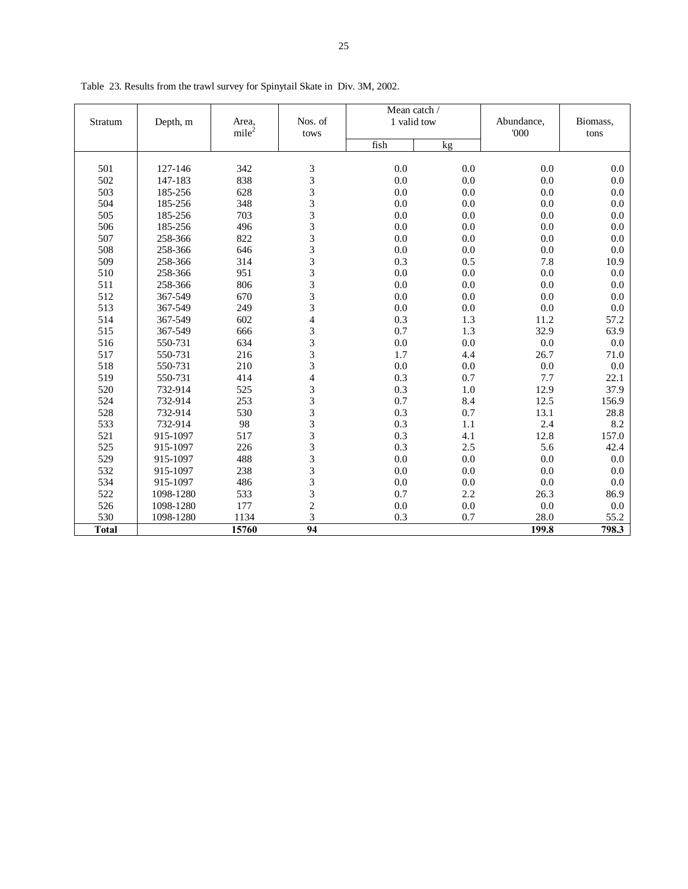|              |           |                   |                         | Mean catch / |     |            |          |
|--------------|-----------|-------------------|-------------------------|--------------|-----|------------|----------|
| Stratum      | Depth, m  | Area,             | Nos. of                 | 1 valid tow  |     | Abundance, | Biomass, |
|              |           | mile <sup>2</sup> | tows                    | fish         |     | 000        | tons     |
|              |           |                   |                         |              | kg  |            |          |
| 501          | 127-146   | 342               | 3                       | 0.0          | 0.0 | 0.0        | 0.0      |
| 502          | 147-183   | 838               | 3                       | 0.0          | 0.0 | 0.0        | 0.0      |
| 503          | 185-256   | 628               | 3                       | 0.0          | 0.0 | 0.0        | 0.0      |
| 504          | 185-256   | 348               | $\overline{3}$          | 0.0          | 0.0 | 0.0        | 0.0      |
| 505          | 185-256   | 703               | 3                       | 0.0          | 0.0 | 0.0        | 0.0      |
| 506          | 185-256   | 496               | $\overline{3}$          | 0.0          | 0.0 | 0.0        | 0.0      |
| 507          | 258-366   | 822               | 3                       | 0.0          | 0.0 | 0.0        | 0.0      |
| 508          | 258-366   | 646               | 3                       | 0.0          | 0.0 | 0.0        | 0.0      |
| 509          | 258-366   | 314               | 3                       | 0.3          | 0.5 | 7.8        | 10.9     |
| 510          | 258-366   | 951               | 3                       | 0.0          | 0.0 | 0.0        | 0.0      |
| 511          | 258-366   | 806               | 3                       | 0.0          | 0.0 | 0.0        | 0.0      |
| 512          | 367-549   | 670               | 3                       | 0.0          | 0.0 | 0.0        | 0.0      |
| 513          | 367-549   | 249               | 3                       | 0.0          | 0.0 | 0.0        | 0.0      |
| 514          | 367-549   | 602               | $\overline{4}$          | 0.3          | 1.3 | 11.2       | 57.2     |
| 515          | 367-549   | 666               | 3                       | 0.7          | 1.3 | 32.9       | 63.9     |
| 516          | 550-731   | 634               | 3                       | 0.0          | 0.0 | 0.0        | 0.0      |
| 517          | 550-731   | 216               | 3                       | 1.7          | 4.4 | 26.7       | 71.0     |
| 518          | 550-731   | 210               | 3                       | 0.0          | 0.0 | 0.0        | 0.0      |
| 519          | 550-731   | 414               | $\overline{\mathbf{4}}$ | 0.3          | 0.7 | 7.7        | 22.1     |
| 520          | 732-914   | 525               | 3                       | 0.3          | 1.0 | 12.9       | 37.9     |
| 524          | 732-914   | 253               | 3                       | 0.7          | 8.4 | 12.5       | 156.9    |
| 528          | 732-914   | 530               | 3                       | 0.3          | 0.7 | 13.1       | 28.8     |
| 533          | 732-914   | 98                | 3                       | 0.3          | 1.1 | 2.4        | 8.2      |
| 521          | 915-1097  | 517               | 3                       | 0.3          | 4.1 | 12.8       | 157.0    |
| 525          | 915-1097  | 226               | 3                       | 0.3          | 2.5 | 5.6        | 42.4     |
| 529          | 915-1097  | 488               | 3                       | 0.0          | 0.0 | 0.0        | 0.0      |
| 532          | 915-1097  | 238               | 3                       | 0.0          | 0.0 | 0.0        | 0.0      |
| 534          | 915-1097  | 486               | 3                       | 0.0          | 0.0 | 0.0        | 0.0      |
| 522          | 1098-1280 | 533               | 3                       | 0.7          | 2.2 | 26.3       | 86.9     |
| 526          | 1098-1280 | 177               | $\overline{c}$          | 0.0          | 0.0 | 0.0        | 0.0      |
| 530          | 1098-1280 | 1134              | 3                       | 0.3          | 0.7 | 28.0       | 55.2     |
| <b>Total</b> |           | 15760             | 94                      |              |     | 199.8      | 798.3    |

Table 23. Results from the trawl survey for Spinytail Skate in Div. 3M, 2002.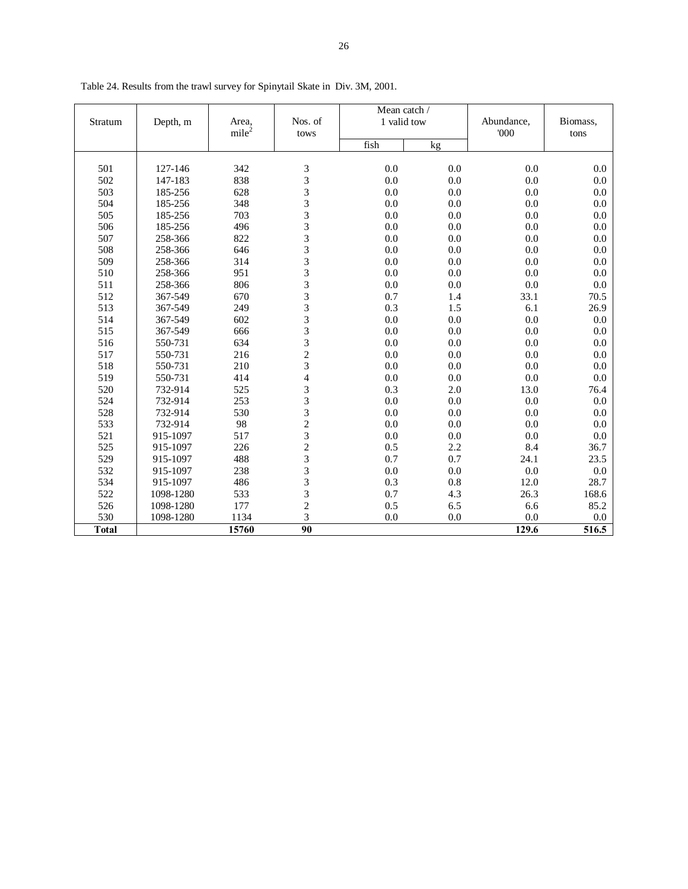|              |           |                   |                                            | Mean catch / |     |            |          |
|--------------|-----------|-------------------|--------------------------------------------|--------------|-----|------------|----------|
| Stratum      | Depth, m  | Area,             | Nos. of                                    | 1 valid tow  |     | Abundance, | Biomass, |
|              |           | mile <sup>2</sup> | tows                                       |              |     | '000       | tons     |
|              |           |                   |                                            | fish         | kg  |            |          |
| 501          | 127-146   | 342               | 3                                          | 0.0          | 0.0 | 0.0        | 0.0      |
| 502          | 147-183   | 838               |                                            | 0.0          | 0.0 | 0.0        | 0.0      |
| 503          | 185-256   | 628               |                                            | 0.0          | 0.0 | 0.0        | 0.0      |
| 504          | 185-256   | 348               | 3333333                                    | 0.0          | 0.0 | 0.0        | 0.0      |
| 505          | 185-256   | 703               |                                            | 0.0          | 0.0 | 0.0        | 0.0      |
| 506          | 185-256   | 496               |                                            | 0.0          | 0.0 | 0.0        | 0.0      |
| 507          | 258-366   | 822               |                                            | 0.0          | 0.0 | 0.0        | 0.0      |
| 508          | 258-366   | 646               |                                            | 0.0          | 0.0 | 0.0        | 0.0      |
| 509          | 258-366   | 314               |                                            | 0.0          | 0.0 | 0.0        | 0.0      |
| 510          | 258-366   | 951               | $\frac{3}{3}$                              | 0.0          | 0.0 | 0.0        | 0.0      |
| 511          | 258-366   | 806               |                                            | 0.0          | 0.0 | 0.0        | 0.0      |
| 512          | 367-549   | 670               |                                            | 0.7          | 1.4 | 33.1       | 70.5     |
| 513          | 367-549   | 249               | $\begin{array}{c} 3 \\ 3 \\ 3 \end{array}$ | 0.3          | 1.5 | 6.1        | 26.9     |
| 514          | 367-549   | 602               |                                            | 0.0          | 0.0 | 0.0        | 0.0      |
| 515          | 367-549   | 666               |                                            | 0.0          | 0.0 | 0.0        | 0.0      |
| 516          | 550-731   | 634               | $\frac{3}{3}$                              | 0.0          | 0.0 | 0.0        | 0.0      |
| 517          | 550-731   | 216               |                                            | 0.0          | 0.0 | 0.0        | 0.0      |
| 518          | 550-731   | 210               | $\frac{2}{3}$                              | 0.0          | 0.0 | 0.0        | 0.0      |
| 519          | 550-731   | 414               | $\overline{4}$                             | 0.0          | 0.0 | 0.0        | 0.0      |
| 520          | 732-914   | 525               |                                            | 0.3          | 2.0 | 13.0       | 76.4     |
| 524          | 732-914   | 253               |                                            | 0.0          | 0.0 | 0.0        | 0.0      |
| 528          | 732-914   | 530               |                                            | 0.0          | 0.0 | 0.0        | 0.0      |
| 533          | 732-914   | 98                |                                            | 0.0          | 0.0 | 0.0        | 0.0      |
| 521          | 915-1097  | 517               | 33323233                                   | 0.0          | 0.0 | 0.0        | 0.0      |
| 525          | 915-1097  | 226               |                                            | 0.5          | 2.2 | 8.4        | 36.7     |
| 529          | 915-1097  | 488               |                                            | 0.7          | 0.7 | 24.1       | 23.5     |
| 532          | 915-1097  | 238               |                                            | 0.0          | 0.0 | 0.0        | 0.0      |
| 534          | 915-1097  | 486               |                                            | 0.3          | 0.8 | 12.0       | 28.7     |
| 522          | 1098-1280 | 533               | $\frac{3}{3}$                              | 0.7          | 4.3 | 26.3       | 168.6    |
| 526          | 1098-1280 | 177               |                                            | 0.5          | 6.5 | 6.6        | 85.2     |
| 530          | 1098-1280 | 1134              | $\frac{2}{3}$                              | 0.0          | 0.0 | 0.0        | 0.0      |
| <b>Total</b> |           | 15760             | 90                                         |              |     | 129.6      | 516.5    |
|              |           |                   |                                            |              |     |            |          |

Table 24. Results from the trawl survey for Spinytail Skate in Div. 3M, 2001.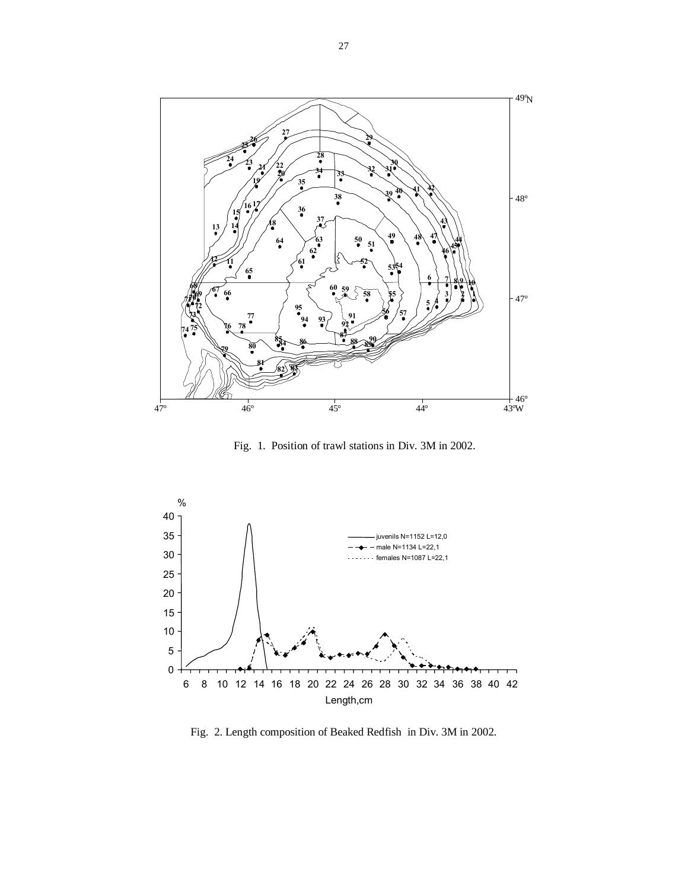

Fig. 1. Position of trawl stations in Div. 3M in 2002.



Fig. 2. Length composition of Beaked Redfish in Div. 3M in 2002.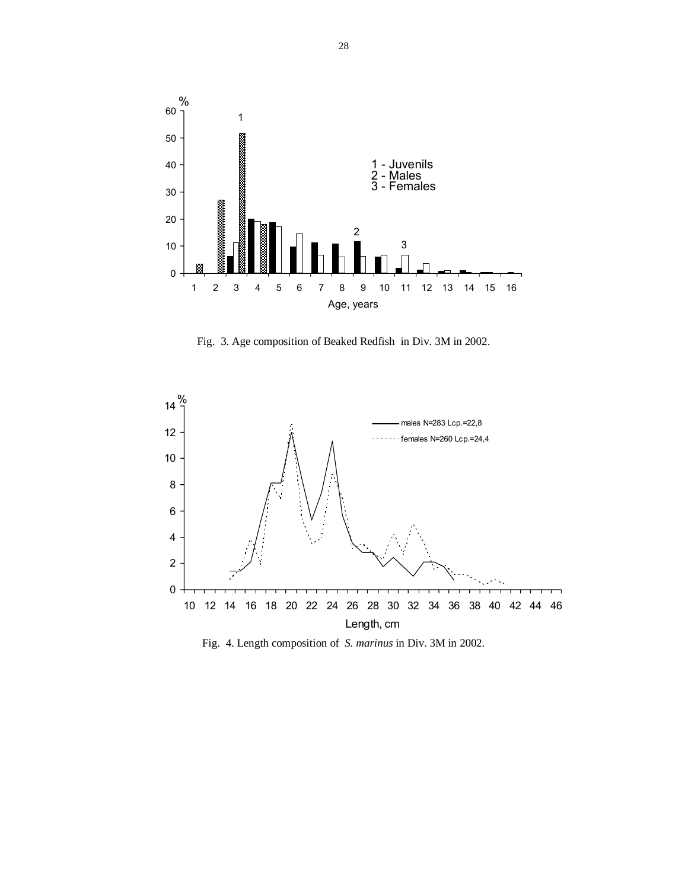

Fig. 3. Age composition of Beaked Redfish in Div. 3M in 2002.



Fig. 4. Length composition of *S. marinus* in Div. 3M in 2002.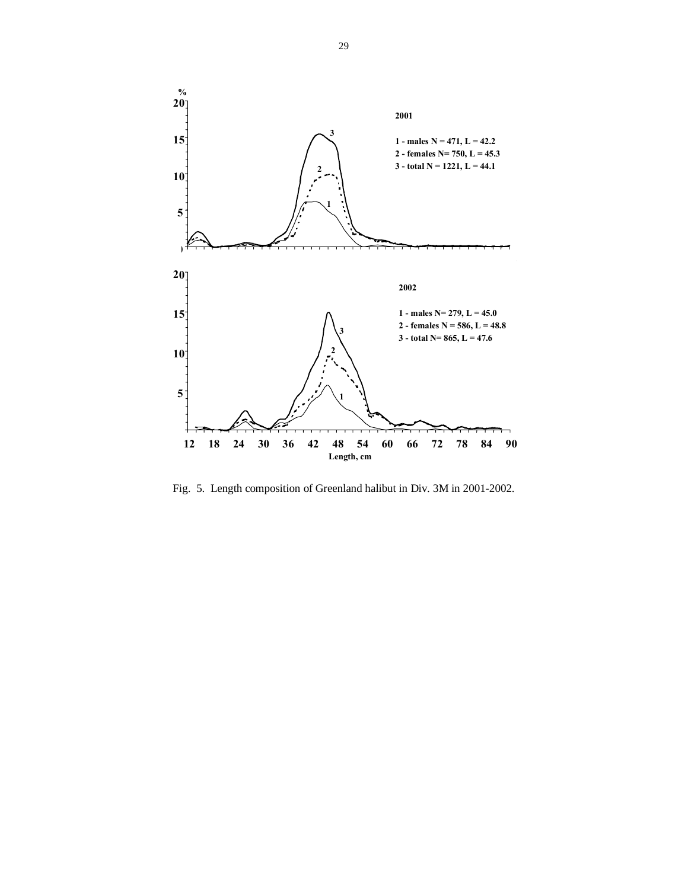

Fig. 5. Length composition of Greenland halibut in Div. 3M in 2001-2002.